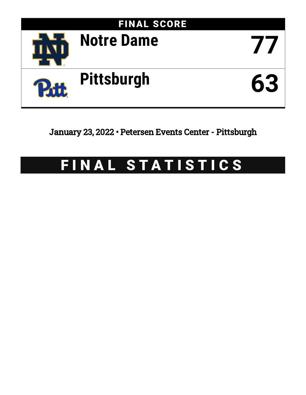

January 23, 2022 • Petersen Events Center - Pittsburgh

# FINAL STATISTICS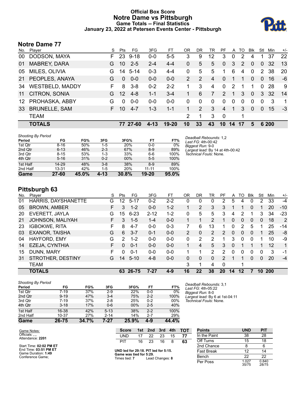# **Official Box Score Notre Dame vs Pittsburgh Game Totals -- Final Statistics January 23, 2022 at Petersen Events Center - Pittsburgh**



# **Notre Dame 77**

| No. | Plaver                 | S  | Pts      | FG.      | 3FG      | FT      | ΟR | DR            | TR | PF            | A            | TO            | <b>Blk</b> | Stl      | Min   | $+/-$          |
|-----|------------------------|----|----------|----------|----------|---------|----|---------------|----|---------------|--------------|---------------|------------|----------|-------|----------------|
| 00  | DODSON, MAYA           | F. | 23       | $9 - 18$ | $0-0$    | $5-5$   | 3  | 9             | 12 | 3             | $\mathbf{0}$ | 2             | 4          |          | 37    | 22             |
| 01  | <b>MABREY, DARA</b>    | G  | 10       | $2 - 5$  | $2 - 4$  | $4 - 4$ | 0  | 5             | 5  | $\Omega$      | 3            | $\mathcal{P}$ | $\Omega$   | 0        | 32    | 13             |
| 05  | MILES, OLIVIA          | G. | 14       | $5 - 14$ | $0 - 3$  | $4 - 4$ | 0  | 5             | 5  |               | 6            | 4             | $\Omega$   | 2        | 38    | 20             |
| 21  | PEOPLES, ANAYA         | G  | $\Omega$ | $0 - 0$  | $0 - 0$  | $0 - 0$ | 2  | $\mathcal{P}$ | 4  | $\Omega$      | 1            | 1             | $\Omega$   | $\Omega$ | 16    | -6             |
| 34  | <b>WESTBELD, MADDY</b> | F. | 8        | $3 - 8$  | $0 - 2$  | $2 - 2$ |    | 3             | 4  | $\Omega$      | 2            |               |            | $\Omega$ | 28    | 9              |
| 11  | CITRON, SONIA          | G  | 12       | $4 - 8$  | $1 - 1$  | $3 - 4$ |    | 6             | 7  | $\mathcal{P}$ | -1           | 3             | $\Omega$   | 3        | 32    | 14             |
| 12  | PROHASKA, ABBY         | G  | $\Omega$ | $0-0$    | $0-0$    | $0 - 0$ | 0  | $\Omega$      | 0  | 0             | $\mathbf{0}$ | $\Omega$      | $\Omega$   | 0        | 3     | $\overline{1}$ |
| 33  | <b>BRUNELLE, SAM</b>   | F. | 10       | $4 - 7$  | $1 - 3$  | $1 - 1$ |    | 2             | 3  | 4             | 1            | 3             | $\Omega$   | $\Omega$ | 15    | $-3$           |
|     | <b>TEAM</b>            |    |          |          |          |         | 2  | 1             | 3  | $\mathbf 0$   |              | 1             |            |          |       |                |
|     | <b>TOTALS</b>          |    | 77.      | 27-60    | $4 - 13$ | $19-20$ | 10 | 33            | 43 | 10            | 14           | 17            | 5          |          | 6 200 |                |

| <b>Shooting By Period</b> |           |       |         |            |           |       |
|---------------------------|-----------|-------|---------|------------|-----------|-------|
| Period                    | FG        | FG%   | 3FG     | 3FG%       | FT        | FT%   |
| 1st Qtr                   | $8 - 16$  | 50%   | $1 - 5$ | <b>20%</b> | $0 - 0$   | 0%    |
| 2nd Qtr                   | $6 - 13$  | 46%   | $2 - 3$ | 67%        | $8-9$     | 89%   |
| 3rd Qtr                   | $8 - 15$  | 53%   | $1 - 3$ | 33%        | $6 - 6$   | 100%  |
| 4th Qtr                   | $5 - 16$  | 31%   | $0 - 2$ | 00%        | $5 - 5$   | 100%  |
| 1st Half                  | 14-29     | 48%   | $3 - 8$ | 38%        | $8-9$     | 89%   |
| 2nd Half                  | 13-31     | 42%   | $1 - 5$ | <b>20%</b> | $11 - 11$ | 100%  |
| Game                      | $27 - 60$ | 45.0% | 4-13    | 30.8%      | $19 - 20$ | 95.0% |

**Pittsburgh 63**

| No. | Player                | S  | Pts | FG       | 3FG      | FT.     | 0R             | DR | TR             | PF       | A        | TO | <b>B</b> lk  | Stl      | Min        | $+/-$ |
|-----|-----------------------|----|-----|----------|----------|---------|----------------|----|----------------|----------|----------|----|--------------|----------|------------|-------|
| 01  | HARRIS, DAYSHANETTE   | G  | 12  | $5 - 17$ | $0 - 2$  | $2 - 2$ | 0              | 0  | $\mathbf{0}$   | 2        | 5        | 4  | 0            | 2        | 33         | $-4$  |
| 05  | <b>BROWN, AMBER</b>   | F. | 3   | $1 - 2$  | $0 - 0$  | $1 - 2$ |                | 2  | 3              | 3        |          |    | $\Omega$     |          | 20         | $-10$ |
| -20 | EVERETT, JAYLA        | G  | 15  | $6 - 23$ | $2 - 12$ | $1 - 2$ | 0              | 5  | 5              | 3        | 4        | 2  |              | 3        | 34         | $-23$ |
| 21  | JOHNSON, MALIYAH      | F. | 3   | $1 - 5$  | $1 - 4$  | $0 - 0$ |                |    | 2              |          | 0        | 0  | 0            | 0        | 18         | 2     |
| 23  | <b>IGBOKWE, RITA</b>  | F. | 8   | $4 - 7$  | $0 - 0$  | $0 - 3$ | 7              | 6  | 13             |          | 0        | 2  | 5            |          | 25         | $-14$ |
| 03  | <b>EXANOR, TAISHA</b> | G  | 6   | $3 - 7$  | $0 - 1$  | $0 - 0$ | $\overline{2}$ | 0  | $\overline{2}$ | 2        | $\Omega$ | 0  | $\mathbf{0}$ |          | 25         | -8    |
| 04  | HAYFORD, EMY          | G  | 2   | $1 - 2$  | $0 - 0$  | $0 - 0$ | 0              | 2  | 2              |          | 3        | 0  | $\mathbf{0}$ |          | 10         | -9    |
| 14  | EZEJA, CYNTHIA        | F. | 0   | $0 - 1$  | $0 - 0$  | $0 - 0$ | 1.             | 4  | 5.             | 3        | $\Omega$ |    |              |          | 12         | 1     |
| 15  | DUNN, MARY            | F  | 0   | $0 - 1$  | $0 - 0$  | $0 - 0$ |                |    | 2              | 2        | 0        | 0  | 0            | 0        | 3          | -1    |
| 31  | STROTHER, DESTINY     | G  | 14  | $5 - 10$ | $4 - 8$  | $0 - 0$ | 0              | 0  | $\Omega$       | 2        |          |    | $\mathbf{0}$ | $\Omega$ | 20         | $-4$  |
|     | <b>TEAM</b>           |    |     |          |          |         | 3              |    | 4              | $\Omega$ |          |    |              |          |            |       |
|     | <b>TOTALS</b>         |    | 63  | 26-75    | 7-27     | $4 - 9$ | 16             | 22 | 38             | 20       | 14       | 12 |              | 10       | <b>200</b> |       |
|     |                       |    |     |          |          |         |                |    |                |          |          |    |              |          |            |       |

| <b>Shooting By Period</b> |          |       |          |       |         |       |
|---------------------------|----------|-------|----------|-------|---------|-------|
| Period                    | FG       | FG%   | 3FG      | 3FG%  | FT      | FT%   |
| 1st Qtr                   | $7-19$   | 37%   | $2-9$    | 22%   | $0 - 0$ | $0\%$ |
| 2nd Qtr                   | $9 - 19$ | 47%   | $3 - 4$  | 75%   | $2 - 2$ | 100%  |
| 3rd Qtr                   | $7-19$   | 37%   | $2 - 8$  | 25%   | $0 - 2$ | 00%   |
| 4th Qtr                   | $3 - 18$ | 17%   | $0 - 6$  | 00%   | $2 - 5$ | 40%   |
| 1st Half                  | 16-38    | 42%   | $5 - 13$ | 38%   | $2 - 2$ | 100%  |
| 2nd Half                  | 10-37    | 27%   | $2 - 14$ | 14%   | $2 - 7$ | 29%   |
| Game                      | 26-75    | 34.7% | 7-27     | 25.9% | 4-9     | 44.4% |

*Deadball Rebounds:* 3,1 *Last FG:* 4th-05:22 *Biggest Run:* 8-0 *Largest lead:* By 6 at 1st-04:11 *Technical Fouls:* None.

*Deadball Rebounds:* 1,2 *Last FG:* 4th-00:42 *Biggest Run:* 9-0

*Largest lead:* By 14 at 4th-00:42 *Technical Fouls:* None.

| Game Notes:                                                                                 | <b>Score</b>                                                                     |    | 1st 2nd 3rd 4th |     |    | TOT |
|---------------------------------------------------------------------------------------------|----------------------------------------------------------------------------------|----|-----------------|-----|----|-----|
| Officials:<br>Attendance: 2201                                                              | UND                                                                              | 17 | - 22            | 23  | 15 | 77  |
|                                                                                             | PIT                                                                              |    | 16 23           | 16. | 8  | 63  |
| Start Time: 02:02 PM ET<br>End Time: 03:51 PM ET<br>Game Duration: 1:49<br>Conference Game; | UND led for 29:18. PIT led for 5:15.<br>Game was tied for 5:29.<br>Times tied: 7 |    | Lead Changes: 8 |     |    |     |

**UND led for 29:18. PIT led for 5:15. Game was tied for 5:29.** Times tied: **7** Lead Changes: **8**

**Score 1st 2nd 3rd 4th TOT**

| <b>Points</b>     | UND            | <b>PIT</b>     |
|-------------------|----------------|----------------|
| In the Paint      | 38             | 28             |
| Off Turns         | 15             | 18             |
| 2nd Chance        | 8              | 6              |
| <b>Fast Break</b> | 12             | 14             |
| Bench             | 22             | 22             |
| Per Poss          | 1.027<br>35/75 | 0.840<br>28/75 |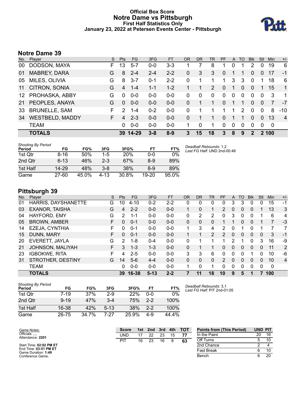### **Official Box Score Notre Dame vs Pittsburgh First Half Statistics Only January 23, 2022 at Petersen Events Center - Pittsburgh**



# **Notre Dame 39**

| No.             | Player                 | S. | <b>Pts</b> | FG.       | 3FG     | <b>FT</b> | 0R | <b>DR</b>   | <b>TR</b> | <b>PF</b> | $\mathsf{A}$ | TO       | <b>Blk</b>   | Stl          | <b>Min</b>  | $+/-$          |
|-----------------|------------------------|----|------------|-----------|---------|-----------|----|-------------|-----------|-----------|--------------|----------|--------------|--------------|-------------|----------------|
| 00              | DODSON, MAYA           | F. | 13         | $5 - 7$   | $0 - 0$ | $3 - 3$   |    |             | 8         |           | 0            |          | 2            | 0            | 19          | 6              |
| 01              | <b>MABREY, DARA</b>    | G  | 8          | $2 - 4$   | $2 - 4$ | $2 - 2$   | 0  | 3           | 3         | $\Omega$  |              |          | 0            | 0            | 17          | $-1$           |
| 05              | MILES, OLIVIA          | G  | 8          | $3 - 7$   | $0 - 1$ | $2 - 2$   | 0  | 1           | 1         | 1         | 3            | 3        | $\mathbf 0$  |              | 18          | 6              |
| 11              | CITRON, SONIA          | G  | 4          | $1 - 4$   | $1 - 1$ | $1 - 2$   |    |             | 2         | 0         |              | 0        | 0            |              | 15          | $\mathbf{1}$   |
| 12 <sup>°</sup> | PROHASKA, ABBY         | G  | $\Omega$   | $0 - 0$   | $0 - 0$ | $0-0$     | 0  | $\Omega$    | 0         | 0         | $\mathbf{0}$ | $\Omega$ | $\Omega$     | $\mathbf{0}$ | 3           | $\mathbf 1$    |
| 21              | PEOPLES, ANAYA         | G  | $\Omega$   | $0 - 0$   | $0 - 0$ | $0 - 0$   | 0  |             | 1         | 0         |              |          | 0            | $\Omega$     |             | -7             |
| 33              | <b>BRUNELLE, SAM</b>   | F  | 2          | $1 - 4$   | $0 - 2$ | $0 - 0$   | 0  |             |           |           | 1            | 2        | $\Omega$     | $\Omega$     | 8           | $-10$          |
| 34              | <b>WESTBELD, MADDY</b> | F. | 4          | $2 - 3$   | $0-0$   | $0 - 0$   | 0  |             | 1         | 0         |              |          | 0            | $\Omega$     | 13          | $\overline{4}$ |
|                 | <b>TEAM</b>            |    | $\Omega$   | $0 - 0$   | $0-0$   | $0 - 0$   |    | $\mathbf 0$ | 1         | 0         | 0            | $\Omega$ | 0            | 0            | $\Omega$    |                |
|                 | <b>TOTALS</b>          |    | 39.        | $14 - 29$ | $3 - 8$ | $8-9$     | 3  | 15          | 18        | 3         | 8            | 9        | $\mathbf{c}$ |              | <b>2100</b> |                |

| <b>Shooting By Period</b><br>Period | FG        | FG%   | 3FG      | 3FG%  | FT        | FT%   |
|-------------------------------------|-----------|-------|----------|-------|-----------|-------|
| 1st Otr                             | $8 - 16$  | 50%   | $1-5$    | 20%   | 0-0       | 0%    |
| 2nd Qtr                             | $6 - 13$  | 46%   | $2 - 3$  | 67%   | 8-9       | 89%   |
| 1st Half                            | 14-29     | 48%   | $3 - 8$  | 38%   | $8-9$     | 89%   |
| Game                                | $27 - 60$ | 45.0% | $4 - 13$ | 30.8% | $19 - 20$ | 95.0% |

*Deadball Rebounds:* 1,2 *Last FG Half:* UND 2nd-00:48

# **Pittsburgh 39**

| No. | Player                | S  | Pts            | FG      | 3FG      | <b>FT</b> | <b>OR</b> | <b>DR</b> | <b>TR</b> | PF       | A | <b>TO</b> | <b>Blk</b> | Stl      | Min | $+/-$          |
|-----|-----------------------|----|----------------|---------|----------|-----------|-----------|-----------|-----------|----------|---|-----------|------------|----------|-----|----------------|
| 01  | HARRIS, DAYSHANETTE   | G  | 10             | 4-10    | $0 - 2$  | $2 - 2$   | 0         | 0         | 0         | $\Omega$ | 3 | 3         | 0          | 0        | 15  | -1             |
| 03  | <b>EXANOR, TAISHA</b> | G  | $\overline{4}$ | $2 - 2$ | $0 - 0$  | $0 - 0$   |           | 0         |           | 2        | 0 | 0         | 0          |          | 13  | 3              |
| 04  | HAYFORD, EMY          | G  | 2              | 1-1     | $0 - 0$  | $0 - 0$   | 0         | 2         | 2         | 0        | 3 | 0         | 0          |          | 6   | 4              |
| 05  | <b>BROWN, AMBER</b>   | F. | 0              | $0 - 1$ | $0 - 0$  | $0 - 0$   | 0         | 0         | $\Omega$  |          |   | 0         | 0          |          | 7   | $-3$           |
| 14  | EZEJA, CYNTHIA        | F. | 0              | $0 - 1$ | $0 - 0$  | $0 - 0$   |           | 3         | 4         | 2        | 0 |           | 0          |          |     | 7              |
| 15  | DUNN, MARY            | F  | 0              | $0 - 1$ | $0 - 0$  | $0 - 0$   |           |           | 2         | 2        | 0 | $\Omega$  | 0          | $\Omega$ | 3   | $-1$           |
| 20  | EVERETT, JAYLA        | G  | 2              | 1-8     | $0 - 4$  | $0 - 0$   | 0         |           | 1         |          | 2 | 1         | 0          | 3        | 16  | -9             |
| 21  | JOHNSON, MALIYAH      | F. | 3.             | $1 - 3$ | $1 - 3$  | $0 - 0$   | 0         |           |           | $\Omega$ | 0 | $\Omega$  | $\Omega$   | 0        | 11  | 2              |
| 23  | <b>IGBOKWE, RITA</b>  | F  | 4              | $2 - 5$ | $0 - 0$  | $0 - 0$   | 3         | 3         | 6         | $\Omega$ | 0 | 0         |            | 0        | 10  | -6             |
| 31  | STROTHER, DESTINY     | G  | 14             | $5-6$   | $4 - 4$  | $0 - 0$   | 0         | 0         | $\Omega$  | 2        | 0 | $\Omega$  | 0          | 0        | 10  | $\overline{4}$ |
|     | TEAM                  |    | 0              | $0 - 0$ | $0 - 0$  | $0 - 0$   |           | 0         | 1         | 0        | 0 | 0         | 0          | 0        | 0   |                |
|     | <b>TOTALS</b>         |    | 39             | 16-38   | $5 - 13$ | $2 - 2$   |           | 11        | 18        | 10       | 9 | 5         |            |          | 100 |                |

| <b>Shooting By Period</b><br>Period | FG       | FG%   | 3FG    | 3FG%  | FT      | FT%   |
|-------------------------------------|----------|-------|--------|-------|---------|-------|
| 1st Otr                             | 7-19     | 37%   | $2-9$  | 22%   | 0-0     | $0\%$ |
| 2nd Qtr                             | $9 - 19$ | 47%   | $3-4$  | 75%   | $2 - 2$ | 100%  |
| 1st Half                            | 16-38    | 42%   | $5-13$ | 38%   | $2-2$   | 100%  |
| Game                                | 26-75    | 34.7% | 7-27   | 25.9% | $4-9$   | 44.4% |

*Deadball Rebounds:* 3,1 *Last FG Half:* PIT 2nd-01:05

| Game Notes:                                  | <b>Score</b> | 1st | 2nd | 3rd | 4th | <b>TOT</b> | <b>Points from (This Period)</b> | <b>UND PIT</b> |    |
|----------------------------------------------|--------------|-----|-----|-----|-----|------------|----------------------------------|----------------|----|
| Officials:<br>Attendance: 2201               | UND          |     | 22  | 23  | 15  | 77         | In the Paint                     | 20             | 16 |
|                                              | PIT          | 16  | 23  | 16  |     | 63         | Off Turns                        |                | 10 |
| Start Time: 02:02 PM ET                      |              |     |     |     |     |            | 2nd Chance                       |                |    |
| End Time: 03:51 PM ET<br>Game Duration: 1:49 |              |     |     |     |     |            | Fast Break                       |                |    |
| Conference Game;                             |              |     |     |     |     |            | Bench                            |                | 20 |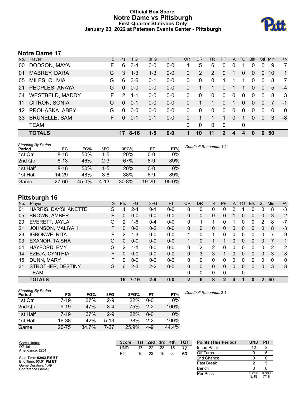### **Official Box Score Notre Dame vs Pittsburgh First Quarter Statistics Only January 23, 2022 at Petersen Events Center - Pittsburgh**



# **Notre Dame 17**

| No.             | Player                 | S. | Pts           | <b>FG</b> | 3FG     | <b>FT</b> | <b>OR</b> | <b>DR</b> | TR             | PF       | A           | <b>TO</b> | <b>Blk</b> | Stl            | <b>Min</b> | $+/-$       |
|-----------------|------------------------|----|---------------|-----------|---------|-----------|-----------|-----------|----------------|----------|-------------|-----------|------------|----------------|------------|-------------|
| 00              | DODSON, MAYA           | F  | 6             | 3-4       | $0 - 0$ | $0 - 0$   |           | 5         | 6              | 0        |             |           | 0          | 0              | 9          | 7           |
| 01              | <b>MABREY, DARA</b>    | G  | 3             | $1 - 3$   | $1 - 3$ | $0 - 0$   | 0         | 2         | $\overline{2}$ | 0        |             | 0         | $\Omega$   | 0              | 10         | $\mathbf 1$ |
| 05              | MILES, OLIVIA          | G  | 6             | $3-6$     | $0 - 1$ | $0-0$     | 0         | $\Omega$  | 0              |          |             |           | $\Omega$   | $\Omega$       | 8          | 7           |
| 21              | PEOPLES, ANAYA         | G  | $\Omega$      | $0 - 0$   | $0-0$   | $0 - 0$   | 0         |           | 1              | 0        |             | 1         | $\Omega$   | $\Omega$       | 5          | $-4$        |
| 34              | <b>WESTBELD, MADDY</b> | F  | $\mathcal{P}$ | $1 - 1$   | $0-0$   | $0-0$     | 0         | 0         | 0              | $\Omega$ | $\mathbf 0$ | 0         | $\Omega$   | 0              | 8          | 3           |
| 11              | CITRON, SONIA          | G  | $\Omega$      | $0 - 1$   | $0-0$   | $0 - 0$   | 0         |           | 1              | 0        |             | $\Omega$  | $\Omega$   | $\Omega$       | 7          | $-1$        |
| 12 <sup>1</sup> | PROHASKA, ABBY         | G  | 0             | $0-0$     | $0-0$   | $0-0$     | 0         | 0         | 0              | 0        | $\mathbf 0$ | $\Omega$  | $\Omega$   | $\Omega$       | $\Omega$   | $\mathbf 0$ |
| 33              | <b>BRUNELLE, SAM</b>   | F. | $\Omega$      | $0 - 1$   | $0 - 1$ | $0 - 0$   | 0         | 1         |                | 1        | $\Omega$    | 1         | $\Omega$   | $\overline{0}$ | 3          | -8          |
|                 | <b>TEAM</b>            |    |               |           |         |           | 0         | 0         | 0              | 0        |             | 0         |            |                |            |             |
|                 | <b>TOTALS</b>          |    | 17            | $8 - 16$  | $1 - 5$ | $0 - 0$   |           | 10        | 11             | 2        | 4           | 4         | 0          | O.             | 50         |             |
|                 |                        |    |               |           |         |           |           |           |                |          |             |           |            |                |            |             |

| <b>Shooting By Period</b><br>Period | FG        | FG%   | 3FG      | 3FG%       | FT        | FT%   | Deadball Rebounds: 1,2 |
|-------------------------------------|-----------|-------|----------|------------|-----------|-------|------------------------|
| 1st Qtr                             | $8 - 16$  | 50%   | $1 - 5$  | 20%        | $0 - 0$   | $0\%$ |                        |
| 2nd Qtr                             | $6 - 13$  | 46%   | $2 - 3$  | 67%        | $8-9$     | 89%   |                        |
| 1st Half                            | $8 - 16$  | 50%   | $1-5$    | <b>20%</b> | $0 - 0$   | 0%    |                        |
| 1st Half                            | 14-29     | 48%   | $3 - 8$  | 38%        | $8-9$     | 89%   |                        |
| Game                                | $27 - 60$ | 45.0% | $4 - 13$ | 30.8%      | $19 - 20$ | 95.0% |                        |

# **Pittsburgh 16**

| No. | Plaver                  | S  | <b>Pts</b>    | FG      | 3FG     | <b>FT</b> | <b>OR</b>    | <b>DR</b> | TR | PF | A            | TO       | <b>Blk</b> | <b>Stl</b>    | Min      | $+/-$ |
|-----|-------------------------|----|---------------|---------|---------|-----------|--------------|-----------|----|----|--------------|----------|------------|---------------|----------|-------|
| 01  | HARRIS, DAYSHANETTE     | G  | 4             | $2 - 4$ | $0 - 1$ | $0-0$     | 0            | 0         | 0  | 0  | 2            |          | 0          | 0             | 8        | $-3$  |
| 05  | <b>BROWN, AMBER</b>     | F. | 0             | $0 - 0$ | $0 - 0$ | $0 - 0$   | $\Omega$     | 0         | 0  | 0  |              | 0        | 0          | $\mathbf{0}$  | 3        | $-2$  |
| 20  | EVERETT, JAYLA          | G  | $\mathcal{P}$ | 1-6     | $0 - 4$ | $0 - 0$   | 0            |           | 1. | 0  |              | 0        | 0          | 2             | 8        | -7    |
| 21  | <b>JOHNSON, MALIYAH</b> | F. | 0             | $0 - 2$ | $0 - 2$ | $0 - 0$   | $\Omega$     | 0         | 0  | 0  | $\mathbf{0}$ | $\Omega$ | 0          | 0             | 8        | $-3$  |
| 23  | <b>IGBOKWE, RITA</b>    | F  | 2             | $1 - 3$ | $0 - 0$ | $0 - 0$   | 1            | 0         | 1  | 0  | 0            | $\Omega$ | 0          | 0             |          | -9    |
| 03  | <b>EXANOR, TAISHA</b>   | G  | $\Omega$      | $0 - 0$ | $0 - 0$ | $0 - 0$   | 1            | 0         | 1  |    | 0            | $\Omega$ | 0          | $\Omega$      |          | 1     |
| 04  | HAYFORD, EMY            | G  | $\mathcal{P}$ | 1-1     | $0 - 0$ | $0-0$     | 0            | 2         | 2  | 0  | 0            | ∩        | 0          | 0             | 2        | 2     |
| 14  | EZEJA, CYNTHIA          | F  | 0             | $0 - 0$ | $0 - 0$ | $0 - 0$   | $\Omega$     | 3         | 3  |    | $\Omega$     | $\Omega$ | 0          | $\Omega$      | 3        | 8     |
| 15  | DUNN, MARY              | F. | 0             | $0 - 0$ | $0 - 0$ | $0-0$     | $\Omega$     | 0         | 0  | 0  | 0            | 0        | 0          | 0             | $\Omega$ | 0     |
| 31  | STROTHER, DESTINY       | G  | 6             | $2 - 3$ | $2 - 2$ | $0 - 0$   | 0            | 0         | 0  | 0  | $\Omega$     | $\Omega$ | 0          | $\mathbf{0}$  | 3        | 8     |
|     | <b>TEAM</b>             |    |               |         |         |           | 0            | 0         | 0  | 0  |              | 0        |            |               |          |       |
|     | <b>TOTALS</b>           |    | 16            | 7-19    | $2 - 9$ | $0 - 0$   | $\mathbf{2}$ | 6         | 8  | 2  | 4            |          | 0          | $\mathcal{P}$ | 50       |       |

| <b>Shooting By Period</b><br>Period | FG       | FG%   | 3FG     | 3FG%  | FT      | FT%   |
|-------------------------------------|----------|-------|---------|-------|---------|-------|
| 1st Qtr                             | $7 - 19$ | 37%   | $2-9$   | 22%   | $0 - 0$ | $0\%$ |
| 2nd Qtr                             | $9 - 19$ | 47%   | $3 - 4$ | 75%   | $2-2$   | 100%  |
| 1st Half                            | $7 - 19$ | 37%   | $2 - 9$ | 22%   | 0-0     | $0\%$ |
| 1st Half                            | 16-38    | 42%   | $5-13$  | 38%   | $2-2$   | 100%  |
| Game                                | 26-75    | 34.7% | 7-27    | 25.9% | 4-9     | 44.4% |

*Deadball Rebounds:* 3,1

| Game Notes:                                  |     | <b>Score</b><br>1st | 2nd | 3rd | 4th | <b>TOT</b> | <b>Points (This Period)</b> | <b>UND</b>    | <b>PIT</b>    |
|----------------------------------------------|-----|---------------------|-----|-----|-----|------------|-----------------------------|---------------|---------------|
| Officials: , ,<br>Attendance: 2201           | UND |                     | 22  | 23  | 15  | 77         | In the Paint                |               |               |
|                                              | PIT | 16                  | 23  | 16  |     | 63         | Off Turns                   |               |               |
| Start Time: 02:02 PM ET                      |     |                     |     |     |     |            | 2nd Chance                  |               |               |
| End Time: 03:51 PM ET<br>Game Duration: 1:49 |     |                     |     |     |     |            | <b>Fast Break</b>           |               |               |
| Conference Game:                             |     |                     |     |     |     |            | Bench                       |               |               |
|                                              |     |                     |     |     |     |            | Per Poss                    | 0.895<br>8/19 | 0.889<br>7/18 |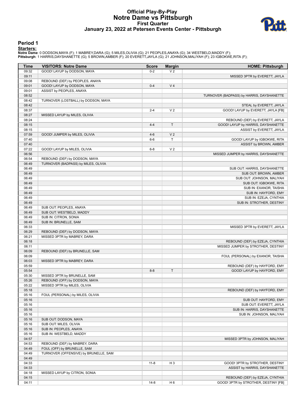## **Official Play-By-Play Notre Dame vs Pittsburgh First Quarter January 23, 2022 at Petersen Events Center - Pittsburgh**



#### **Period 1**

<mark>Starters:</mark><br>Notre Dame: 0 DODSON,MAYA (F); 1 MABREY,DARA (G); 5 MILES,OLIVIA (G); 21 PEOPLES,ANAYA (G); 34 WESTBELD,MADDY (F);<br>Pittsburgh: 1 HARRIS,DAYSHANETTE (G); 5 BROWN,AMBER (F); 20 EVERETT,JAYLA (G); 21 JOHNSON,MALIY

| Time           | <b>VISITORS: Notre Dame</b>                                  | <b>Score</b> | <b>Margin</b>  | <b>HOME: Pittsburgh</b>                                               |
|----------------|--------------------------------------------------------------|--------------|----------------|-----------------------------------------------------------------------|
| 09:32          | GOOD! LAYUP by DODSON, MAYA                                  | $0 - 2$      | V <sub>2</sub> |                                                                       |
| 09:11          |                                                              |              |                | MISSED 3PTR by EVERETT, JAYLA                                         |
| 09:08          | REBOUND (DEF) by PEOPLES, ANAYA                              |              |                |                                                                       |
| 09:01          | GOOD! LAYUP by DODSON, MAYA                                  | $0 - 4$      | V <sub>4</sub> |                                                                       |
| 09:01          | ASSIST by PEOPLES, ANAYA                                     |              |                |                                                                       |
| 08:52          |                                                              |              |                | TURNOVER (BADPASS) by HARRIS, DAYSHANETTE                             |
| 08:42          | TURNOVER (LOSTBALL) by DODSON, MAYA                          |              |                |                                                                       |
| 08:42          |                                                              |              |                | STEAL by EVERETT, JAYLA                                               |
| 08:37          |                                                              | $2 - 4$      | V <sub>2</sub> | GOOD! LAYUP by EVERETT, JAYLA [FB]                                    |
| 08:27          | MISSED LAYUP by MILES, OLIVIA                                |              |                |                                                                       |
| 08:24          |                                                              |              |                | REBOUND (DEF) by EVERETT, JAYLA                                       |
| 08:15          |                                                              | $4 - 4$      | $\mathsf T$    | GOOD! LAYUP by HARRIS, DAYSHANETTE                                    |
| 08:15          |                                                              | $4 - 6$      | V <sub>2</sub> | ASSIST by EVERETT, JAYLA                                              |
| 07:59<br>07:40 | GOOD! JUMPER by MILES, OLIVIA                                | $6-6$        | T              | GOOD! LAYUP by IGBOKWE, RITA                                          |
| 07:40          |                                                              |              |                | ASSIST by BROWN, AMBER                                                |
| 07:22          | GOOD! LAYUP by MILES, OLIVIA                                 | $6 - 8$      | V <sub>2</sub> |                                                                       |
| 06:56          |                                                              |              |                | MISSED JUMPER by HARRIS, DAYSHANETTE                                  |
| 06:54          | REBOUND (DEF) by DODSON, MAYA                                |              |                |                                                                       |
| 06:49          | TURNOVER (BADPASS) by MILES, OLIVIA                          |              |                |                                                                       |
| 06:49          |                                                              |              |                | SUB OUT: HARRIS, DAYSHANETTE                                          |
| 06:49          |                                                              |              |                | SUB OUT: BROWN, AMBER                                                 |
| 06:49          |                                                              |              |                | SUB OUT: JOHNSON, MALIYAH                                             |
| 06:49          |                                                              |              |                | SUB OUT: IGBOKWE, RITA                                                |
| 06:49          |                                                              |              |                | SUB IN: EXANOR, TAISHA                                                |
| 06:49          |                                                              |              |                | SUB IN: HAYFORD, EMY                                                  |
| 06:49          |                                                              |              |                | SUB IN: EZEJA, CYNTHIA                                                |
| 06:49          |                                                              |              |                | SUB IN: STROTHER, DESTINY                                             |
| 06:49          | SUB OUT: PEOPLES, ANAYA                                      |              |                |                                                                       |
| 06:49          | SUB OUT: WESTBELD, MADDY                                     |              |                |                                                                       |
| 06:49          | SUB IN: CITRON, SONIA                                        |              |                |                                                                       |
| 06:49          | SUB IN: BRUNELLE, SAM                                        |              |                |                                                                       |
| 06:33          |                                                              |              |                | MISSED 3PTR by EVERETT, JAYLA                                         |
| 06:29          | REBOUND (DEF) by DODSON, MAYA                                |              |                |                                                                       |
| 06:21<br>06:18 | MISSED 3PTR by MABREY, DARA                                  |              |                |                                                                       |
| 06:11          |                                                              |              |                | REBOUND (DEF) by EZEJA, CYNTHIA<br>MISSED JUMPER by STROTHER, DESTINY |
| 06:09          | REBOUND (DEF) by BRUNELLE, SAM                               |              |                |                                                                       |
| 06:09          |                                                              |              |                | FOUL (PERSONAL) by EXANOR, TAISHA                                     |
| 06:03          | MISSED 3PTR by MABREY, DARA                                  |              |                |                                                                       |
| 05:59          |                                                              |              |                | REBOUND (DEF) by HAYFORD, EMY                                         |
| 05:54          |                                                              | $8 - 8$      | $\mathsf{T}$   | GOOD! LAYUP by HAYFORD, EMY                                           |
| 05:30          | MISSED 3PTR by BRUNELLE, SAM                                 |              |                |                                                                       |
| 05:26          | REBOUND (OFF) by DODSON, MAYA                                |              |                |                                                                       |
| 05:22          | MISSED 3PTR by MILES, OLIVIA                                 |              |                |                                                                       |
| 05:18          |                                                              |              |                | REBOUND (DEF) by HAYFORD, EMY                                         |
| 05:16          | FOUL (PERSONAL) by MILES, OLIVIA                             |              |                |                                                                       |
| 05:16          |                                                              |              |                | SUB OUT: HAYFORD, EMY                                                 |
| 05:16          |                                                              |              |                | SUB OUT: EVERETT, JAYLA                                               |
| 05:16          |                                                              |              |                | SUB IN: HARRIS, DAYSHANETTE                                           |
| 05:16          |                                                              |              |                | SUB IN: JOHNSON, MALIYAH                                              |
| 05:16          | SUB OUT: DODSON, MAYA                                        |              |                |                                                                       |
| 05:16          | SUB OUT: MILES, OLIVIA                                       |              |                |                                                                       |
| 05:16          | SUB IN: PEOPLES, ANAYA                                       |              |                |                                                                       |
| 05:16          | SUB IN: WESTBELD, MADDY                                      |              |                |                                                                       |
| 04:57          |                                                              |              |                | MISSED 3PTR by JOHNSON, MALIYAH                                       |
| 04:53<br>04:49 | REBOUND (DEF) by MABREY, DARA<br>FOUL (OFF) by BRUNELLE, SAM |              |                |                                                                       |
| 04:49          | TURNOVER (OFFENSIVE) by BRUNELLE, SAM                        |              |                |                                                                       |
| 04:49          |                                                              |              |                |                                                                       |
| 04:33          |                                                              | $11 - 8$     | H <sub>3</sub> | GOOD! 3PTR by STROTHER, DESTINY                                       |
| 04:33          |                                                              |              |                | ASSIST by HARRIS, DAYSHANETTE                                         |
| 04:18          | MISSED LAYUP by CITRON, SONIA                                |              |                |                                                                       |
| 04:15          |                                                              |              |                | REBOUND (DEF) by EZEJA, CYNTHIA                                       |
| 04:11          |                                                              | $14 - 8$     | H <sub>6</sub> | GOOD! 3PTR by STROTHER, DESTINY [FB]                                  |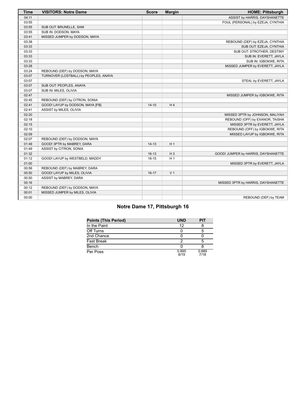| <b>Time</b> | <b>VISITORS: Notre Dame</b>           | <b>Score</b> | <b>Margin</b>  | <b>HOME: Pittsburgh</b>             |
|-------------|---------------------------------------|--------------|----------------|-------------------------------------|
| 04:11       |                                       |              |                | ASSIST by HARRIS, DAYSHANETTE       |
| 03:55       |                                       |              |                | FOUL (PERSONAL) by EZEJA, CYNTHIA   |
| 03:55       | SUB OUT: BRUNELLE, SAM                |              |                |                                     |
| 03:55       | SUB IN: DODSON, MAYA                  |              |                |                                     |
| 03:41       | MISSED JUMPER by DODSON, MAYA         |              |                |                                     |
| 03:38       |                                       |              |                | REBOUND (DEF) by EZEJA, CYNTHIA     |
| 03:33       |                                       |              |                | SUB OUT: EZEJA, CYNTHIA             |
| 03:33       |                                       |              |                | SUB OUT: STROTHER, DESTINY          |
| 03:33       |                                       |              |                | SUB IN: EVERETT, JAYLA              |
| 03:33       |                                       |              |                | SUB IN: IGBOKWE, RITA               |
| 03:28       |                                       |              |                | MISSED JUMPER by EVERETT, JAYLA     |
| 03:24       | REBOUND (DEF) by DODSON, MAYA         |              |                |                                     |
| 03:07       | TURNOVER (LOSTBALL) by PEOPLES, ANAYA |              |                |                                     |
| 03:07       |                                       |              |                | STEAL by EVERETT, JAYLA             |
| 03:07       | SUB OUT: PEOPLES, ANAYA               |              |                |                                     |
| 03:07       | SUB IN: MILES, OLIVIA                 |              |                |                                     |
| 02:47       |                                       |              |                | MISSED JUMPER by IGBOKWE, RITA      |
| 02:45       | REBOUND (DEF) by CITRON, SONIA        |              |                |                                     |
| 02:41       | GOOD! LAYUP by DODSON, MAYA [FB]      | $14 - 10$    | H4             |                                     |
| 02:41       | ASSIST by MILES, OLIVIA               |              |                |                                     |
| 02:20       |                                       |              |                | MISSED 3PTR by JOHNSON, MALIYAH     |
| 02:18       |                                       |              |                | REBOUND (OFF) by EXANOR, TAISHA     |
| 02:15       |                                       |              |                | MISSED 3PTR by EVERETT, JAYLA       |
| 02:10       |                                       |              |                | REBOUND (OFF) by IGBOKWE, RITA      |
| 02:09       |                                       |              |                | MISSED LAYUP by IGBOKWE, RITA       |
| 02:07       | REBOUND (DEF) by DODSON, MAYA         |              |                |                                     |
| 01:49       | GOOD! 3PTR by MABREY, DARA            | $14 - 13$    | H <sub>1</sub> |                                     |
| 01:49       | ASSIST by CITRON, SONIA               |              |                |                                     |
| 01:32       |                                       | $16-13$      | $H_3$          | GOOD! JUMPER by HARRIS, DAYSHANETTE |
| 01:12       | GOOD! LAYUP by WESTBELD, MADDY        | $16 - 15$    | H <sub>1</sub> |                                     |
| 01:00       |                                       |              |                | MISSED 3PTR by EVERETT, JAYLA       |
| 00:56       | REBOUND (DEF) by MABREY, DARA         |              |                |                                     |
| 00:50       | GOOD! LAYUP by MILES, OLIVIA          | $16-17$      | V <sub>1</sub> |                                     |
| 00:50       | ASSIST by MABREY, DARA                |              |                |                                     |
| 00:16       |                                       |              |                | MISSED 3PTR by HARRIS, DAYSHANETTE  |
| 00:12       | REBOUND (DEF) by DODSON, MAYA         |              |                |                                     |
| 00:01       | MISSED JUMPER by MILES, OLIVIA        |              |                |                                     |
| 00:00       |                                       |              |                | REBOUND (DEF) by TEAM               |

# **Notre Dame 17, Pittsburgh 16**

| <b>Points (This Period)</b> | <b>UND</b>    | PIT           |
|-----------------------------|---------------|---------------|
| In the Paint                | 12            |               |
| Off Turns                   |               |               |
| 2nd Chance                  |               |               |
| <b>Fast Break</b>           |               |               |
| Bench                       |               |               |
| Per Poss                    | 0.895<br>8/19 | 0.889<br>7/18 |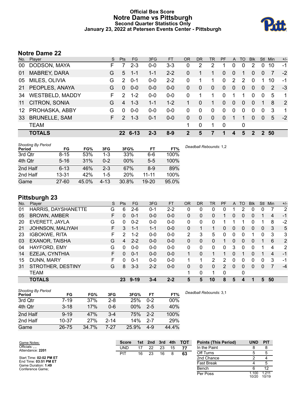### **Official Box Score Notre Dame vs Pittsburgh Second Quarter Statistics Only January 23, 2022 at Petersen Events Center - Pittsburgh**



# **Notre Dame 22**

| No. | Plaver                 | S  | Pts             | FG       | 3FG     | <b>FT</b> | <b>OR</b> | DR           | TR           | PF       | A            | TO       | <b>Blk</b> | Stl            | <b>Min</b> | $+/-$          |
|-----|------------------------|----|-----------------|----------|---------|-----------|-----------|--------------|--------------|----------|--------------|----------|------------|----------------|------------|----------------|
| 00  | DODSON, MAYA           | F  |                 | $2 - 3$  | $0 - 0$ | $3 - 3$   | 0         | 2            | 2            |          | $\Omega$     | 0        | 2          | 0              | 10         | -1             |
| 01  | MABREY, DARA           | G  | 5               | $1 - 1$  | $1 - 1$ | $2 - 2$   | 0         | 1            | 1            | 0        | $\mathbf{0}$ | 1        | $\Omega$   | $\overline{0}$ | 7          | $-2$           |
| 05  | MILES, OLIVIA          | G  | $\mathcal{P}$   | $0 - 1$  | $0-0$   | $2 - 2$   | 0         |              | 1            | 0        | 2            | 2        | $\Omega$   |                | 10         | $-1$           |
| 21  | PEOPLES, ANAYA         | G  | $\Omega$        | $0 - 0$  | $0 - 0$ | $0 - 0$   | 0         | $\Omega$     | $\mathbf{0}$ | $\Omega$ | $\mathbf{0}$ | $\Omega$ | $\Omega$   | $\Omega$       | 2          | -3             |
| 34  | <b>WESTBELD, MADDY</b> | F  | $\mathcal{P}$   | $1 - 2$  | $0-0$   | $0-0$     | 0         | 1            | 1            | $\Omega$ |              | 1        | 0          | $\mathbf{0}$   | 5          | $\mathbf 1$    |
| 11  | CITRON, SONIA          | G  | 4               | $1 - 3$  | $1 - 1$ | $1 - 2$   |           | $\Omega$     | 1            | 0        | $\Omega$     | $\Omega$ | $\Omega$   | -1             | 8          | $\overline{2}$ |
| 12  | PROHASKA, ABBY         | G  | 0               | $0 - 0$  | $0-0$   | $0 - 0$   | 0         | 0            | 0            | 0        | $\Omega$     | $\Omega$ | $\Omega$   | $\Omega$       | 3          | 1              |
| 33  | <b>BRUNELLE, SAM</b>   | F. | $\mathcal{P}$   | $1 - 3$  | $0 - 1$ | $0 - 0$   | 0         | $\mathbf{0}$ | $\mathbf{0}$ | $\Omega$ |              | 1        | $\Omega$   | $\Omega$       | 5          | $-2$           |
|     | <b>TEAM</b>            |    |                 |          |         |           | 1         | 0            | 1            | 0        |              | 0        |            |                |            |                |
|     | <b>TOTALS</b>          |    | 22 <sub>2</sub> | $6 - 13$ | $2 - 3$ | $8-9$     | 2         | 5            | 7            |          | 4            | 5        | 2          | $\mathcal{P}$  | 50         |                |
|     |                        |    |                 |          |         |           |           |              |              |          |              |          |            |                |            |                |

| <b>Shooting By Period</b><br>Period | FG        | FG%   | 3FG      | 3FG%       | FT        | FT%   | Deadball Rebounds: 1,2 |
|-------------------------------------|-----------|-------|----------|------------|-----------|-------|------------------------|
| 3rd Qtr                             | $8 - 15$  | 53%   | 1-3      | 33%        | 6-6       | 100%  |                        |
| 4th Qtr                             | $5 - 16$  | 31%   | $0 - 2$  | $00\%$     | $5-5$     | 100%  |                        |
| 2nd Half                            | $6 - 13$  | 46%   | $2 - 3$  | 67%        | 8-9       | 89%   |                        |
| 2nd Half                            | $13 - 31$ | 42%   | 1-5      | <b>20%</b> | $11 - 11$ | 100%  |                        |
| Game                                | $27 - 60$ | 45.0% | $4 - 13$ | 30.8%      | $19 - 20$ | 95.0% |                        |

# **Pittsburgh 23**

| No. | Player                   | S  | <b>Pts</b> | <b>FG</b> | 3FG     | <b>FT</b> | <b>OR</b> | <b>DR</b> | TR           | PF | A              | TO       | <b>Blk</b> | Stl      | Min | $+/-$          |
|-----|--------------------------|----|------------|-----------|---------|-----------|-----------|-----------|--------------|----|----------------|----------|------------|----------|-----|----------------|
| 01  | HARRIS, DAYSHANETTE      | G  | 6          | $2-6$     | 0-1     | $2 - 2$   | 0         | 0         | 0            | 0  |                |          | 0          | 0        |     | $\overline{2}$ |
| 05  | <b>BROWN, AMBER</b>      | F  | $\Omega$   | $0 - 1$   | $0 - 0$ | $0 - 0$   | 0         | 0         | 0            |    | $\overline{0}$ | 0        | 0          |          | 4   | $-1$           |
| 20  | EVERETT, JAYLA           | G  | 0          | $0 - 2$   | $0 - 0$ | $0 - 0$   | 0         | 0         | 0            |    |                |          | 0          |          | 8   | $-2$           |
| 21  | JOHNSON, MALIYAH         | F. | 3          | $1 - 1$   | $1 - 1$ | $0-0$     | 0         |           | 1            | 0  | $\overline{0}$ | 0        | 0          | $\Omega$ | 3   | 5              |
| 23  | <b>IGBOKWE, RITA</b>     | F. | 2          | $1 - 2$   | $0 - 0$ | $0-0$     | 2         | 3         | 5            | 0  | 0              | 0        |            | 0        | 3   | 3              |
| 03  | <b>EXANOR, TAISHA</b>    | G  | 4          | $2 - 2$   | $0 - 0$ | $0 - 0$   | 0         | 0         | 0            |    | $\mathbf{0}$   | $\Omega$ | 0          |          | 6   | 2              |
| 04  | HAYFORD, EMY             | G  | 0          | $0 - 0$   | $0 - 0$ | $0-0$     | $\Omega$  | $\Omega$  | $\mathbf{0}$ | 0  | 3              | $\Omega$ | 0          |          | 4   | 2              |
| 14  | EZEJA, CYNTHIA           | F  | $\Omega$   | $0 - 1$   | $0 - 0$ | $0 - 0$   | 1.        | 0         | 1.           |    | 0              |          | 0          |          | 4   | $-1$           |
| 15  | DUNN, MARY               | F  | ∩          | $0 - 1$   | $0 - 0$ | $0 - 0$   |           |           | 2            | 2  | $\Omega$       | $\Omega$ | 0          | 0        | 3   | $-1$           |
| 31  | <b>STROTHER, DESTINY</b> | G  | 8          | $3 - 3$   | $2 - 2$ | $0 - 0$   | 0         | 0         | 0            | 2  | $\Omega$       | 0        | 0          | $\Omega$ | 7   | $-4$           |
|     | <b>TEAM</b>              |    |            |           |         |           |           | 0         | 1            | 0  |                | 0        |            |          |     |                |
|     | <b>TOTALS</b>            |    | 23         | $9 - 19$  | $3 - 4$ | $2 - 2$   | 5         | 5         | 10           | 8  | 5              |          |            | 5        | 50  |                |

| Shooting By Period<br>Period | FG        | FG%   | 3FG      | 3FG%   | FT      | FT%   |
|------------------------------|-----------|-------|----------|--------|---------|-------|
| 3rd Qtr                      | $7 - 19$  | 37%   | $2 - 8$  | 25%    | $0 - 2$ | 00%   |
| 4th Qtr                      | $3 - 18$  | 17%   | $0 - 6$  | $00\%$ | $2-5$   | 40%   |
| 2nd Half                     | $9 - 19$  | 47%   | $3-4$    | 75%    | $2 - 2$ | 100%  |
| 2nd Half                     | $10 - 37$ | 27%   | $2 - 14$ | 14%    | $2 - 7$ | 29%   |
| Game                         | 26-75     | 34.7% | 7-27     | 25.9%  | $4 - 9$ | 44.4% |

*Deadball Rebounds:* 3,1

| Game Notes:                                  | <b>Score</b> | 1st | 2nd | 3rd | 4th | <b>TOT</b> | <b>Points (This Period)</b> | <b>UND</b>    | <b>PIT</b>     |
|----------------------------------------------|--------------|-----|-----|-----|-----|------------|-----------------------------|---------------|----------------|
| Officials:<br>Attendance: 2201               | UND          |     | 22  | 23  | 15  | 77         | In the Paint                |               |                |
|                                              | PIT          | 16  | 23  | 16  |     | 63         | Off Turns                   |               |                |
| Start Time: 02:02 PM ET                      |              |     |     |     |     |            | 2nd Chance                  |               |                |
| End Time: 03:51 PM ET<br>Game Duration: 1:49 |              |     |     |     |     |            | Fast Break                  |               |                |
| Conference Game:                             |              |     |     |     |     |            | Bench                       |               | 12             |
|                                              |              |     |     |     |     |            | Per Poss                    | .100<br>10/20 | 1.211<br>10/19 |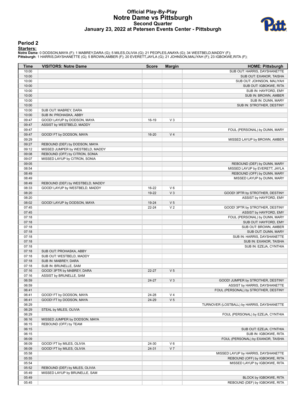## **Official Play-By-Play Notre Dame vs Pittsburgh Second Quarter January 23, 2022 at Petersen Events Center - Pittsburgh**



#### **Period 2**

**Starters:**

Notre Dame: 0 DODSON,MAYA (F); 1 MABREY,DARA (G); 5 MILES,OLIVIA (G); 21 PEOPLES,ANAYA (G); 34 WESTBELD,MADDY (F);<br>Pittsburgh: 1 HARRIS,DAYSHANETTE (G); 5 BROWN,AMBER (F); 20 EVERETT,JAYLA (G); 21 JOHNSON,MALIYAH (F); 23 I

| Time           | <b>VISITORS: Notre Dame</b>      | <b>Score</b> | <b>Margin</b>  | <b>HOME: Pittsburgh</b>                                               |
|----------------|----------------------------------|--------------|----------------|-----------------------------------------------------------------------|
| 10:00          |                                  |              |                | SUB OUT: HARRIS, DAYSHANETTE                                          |
| 10:00          |                                  |              |                | SUB OUT: EXANOR, TAISHA                                               |
| 10:00          |                                  |              |                | SUB OUT: JOHNSON, MALIYAH                                             |
| 10:00          |                                  |              |                | SUB OUT: IGBOKWE, RITA                                                |
| 10:00          |                                  |              |                | SUB IN: HAYFORD, EMY                                                  |
| 10:00          |                                  |              |                | SUB IN: BROWN, AMBER                                                  |
| 10:00          |                                  |              |                | SUB IN: DUNN, MARY                                                    |
| 10:00<br>10:00 | SUB OUT: MABREY, DARA            |              |                | SUB IN: STROTHER, DESTINY                                             |
| 10:00          | SUB IN: PROHASKA, ABBY           |              |                |                                                                       |
| 09:47          | GOOD! LAYUP by DODSON, MAYA      | 16-19        | $V_3$          |                                                                       |
| 09:47          | ASSIST by WESTBELD, MADDY        |              |                |                                                                       |
| 09:47          |                                  |              |                | FOUL (PERSONAL) by DUNN, MARY                                         |
| 09:47          | GOOD! FT by DODSON, MAYA         | 16-20        | V <sub>4</sub> |                                                                       |
| 09:29          |                                  |              |                | MISSED LAYUP by BROWN, AMBER                                          |
| 09:27          | REBOUND (DEF) by DODSON, MAYA    |              |                |                                                                       |
| 09:12          | MISSED JUMPER by WESTBELD, MADDY |              |                |                                                                       |
| 09:08          | REBOUND (OFF) by CITRON, SONIA   |              |                |                                                                       |
| 09:07          | MISSED LAYUP by CITRON, SONIA    |              |                |                                                                       |
| 09:05          |                                  |              |                | REBOUND (DEF) by DUNN, MARY                                           |
| 08:54<br>08:49 |                                  |              |                | MISSED LAYUP by EVERETT, JAYLA<br>REBOUND (OFF) by DUNN, MARY         |
| 08:49          |                                  |              |                | MISSED LAYUP by DUNN, MARY                                            |
| 08:49          | REBOUND (DEF) by WESTBELD, MADDY |              |                |                                                                       |
| 08:33          | GOOD! LAYUP by WESTBELD, MADDY   | 16-22        | $V_6$          |                                                                       |
| 08:20          |                                  | 19-22        | V <sub>3</sub> | GOOD! 3PTR by STROTHER, DESTINY                                       |
| 08:20          |                                  |              |                | ASSIST by HAYFORD, EMY                                                |
| 08:02          | GOOD! LAYUP by DODSON, MAYA      | 19-24        | V <sub>5</sub> |                                                                       |
| 07:45          |                                  | $22 - 24$    | V <sub>2</sub> | GOOD! 3PTR by STROTHER, DESTINY                                       |
| 07:45          |                                  |              |                | ASSIST by HAYFORD, EMY                                                |
| 07:18          |                                  |              |                | FOUL (PERSONAL) by DUNN, MARY                                         |
| 07:18          |                                  |              |                | SUB OUT: HAYFORD, EMY                                                 |
| 07:18          |                                  |              |                | SUB OUT: BROWN, AMBER                                                 |
| 07:18<br>07:18 |                                  |              |                | SUB OUT: DUNN, MARY<br>SUB IN: HARRIS, DAYSHANETTE                    |
| 07:18          |                                  |              |                | SUB IN: EXANOR, TAISHA                                                |
| 07:18          |                                  |              |                | SUB IN: EZEJA, CYNTHIA                                                |
| 07:18          | SUB OUT: PROHASKA, ABBY          |              |                |                                                                       |
| 07:18          | SUB OUT: WESTBELD, MADDY         |              |                |                                                                       |
| 07:18          | SUB IN: MABREY, DARA             |              |                |                                                                       |
| 07:18          | SUB IN: BRUNELLE, SAM            |              |                |                                                                       |
| 07:16          | GOOD! 3PTR by MABREY, DARA       | 22-27        | V <sub>5</sub> |                                                                       |
| 07:16          | ASSIST by BRUNELLE, SAM          |              |                |                                                                       |
| 06:59          |                                  | 24-27        | $V_3$          | GOOD! JUMPER by STROTHER, DESTINY                                     |
| 06:59          |                                  |              |                | ASSIST by HARRIS, DAYSHANETTE<br>FOUL (PERSONAL) by STROTHER, DESTINY |
| 06:41<br>06:41 | GOOD! FT by DODSON, MAYA         | 24-28        | V <sub>4</sub> |                                                                       |
| 06:41          | GOOD! FT by DODSON, MAYA         | 24-29        | V <sub>5</sub> |                                                                       |
| 06:29          |                                  |              |                | TURNOVER (LOSTBALL) by HARRIS, DAYSHANETTE                            |
| 06:29          | STEAL by MILES, OLIVIA           |              |                |                                                                       |
| 06:29          |                                  |              |                | FOUL (PERSONAL) by EZEJA, CYNTHIA                                     |
| 06:16          | MISSED JUMPER by DODSON, MAYA    |              |                |                                                                       |
| 06:15          | REBOUND (OFF) by TEAM            |              |                |                                                                       |
| 06:15          |                                  |              |                | SUB OUT: EZEJA, CYNTHIA                                               |
| 06:15          |                                  |              |                | SUB IN: IGBOKWE, RITA                                                 |
| 06:09          |                                  |              |                | FOUL (PERSONAL) by EXANOR, TAISHA                                     |
| 06:09          | GOOD! FT by MILES, OLIVIA        | 24-30        | $V_6$          |                                                                       |
| 06:09          | GOOD! FT by MILES, OLIVIA        | 24-31        | V <sub>7</sub> |                                                                       |
| 05:58<br>05:55 |                                  |              |                | MISSED LAYUP by HARRIS, DAYSHANETTE<br>REBOUND (OFF) by IGBOKWE, RITA |
| 05:54          |                                  |              |                | MISSED LAYUP by IGBOKWE, RITA                                         |
| 05:52          | REBOUND (DEF) by MILES, OLIVIA   |              |                |                                                                       |
| 05:49          | MISSED LAYUP by BRUNELLE, SAM    |              |                |                                                                       |
| 05:49          |                                  |              |                | BLOCK by IGBOKWE, RITA                                                |
| 05:45          |                                  |              |                | REBOUND (DEF) by IGBOKWE, RITA                                        |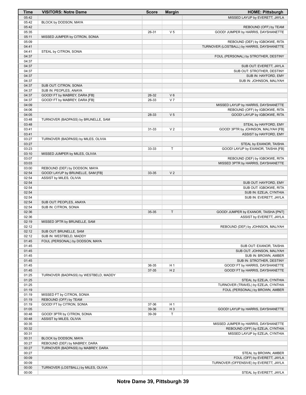| Time           | <b>VISITORS: Notre Dame</b>           | <b>Score</b> | <b>Margin</b>                    | <b>HOME: Pittsburgh</b>                    |
|----------------|---------------------------------------|--------------|----------------------------------|--------------------------------------------|
| 05:42          |                                       |              |                                  | MISSED LAYUP by EVERETT, JAYLA             |
| 05:42          | BLOCK by DODSON, MAYA                 |              |                                  |                                            |
| 05:42          |                                       |              |                                  | REBOUND (OFF) by TEAM                      |
| 05:35          |                                       | 26-31        | V <sub>5</sub>                   | GOOD! JUMPER by HARRIS, DAYSHANETTE        |
| 05:11          | MISSED JUMPER by CITRON, SONIA        |              |                                  |                                            |
| 05:09          |                                       |              |                                  | REBOUND (DEF) by IGBOKWE, RITA             |
| 04:41          |                                       |              |                                  | TURNOVER (LOSTBALL) by HARRIS, DAYSHANETTE |
| 04:41          | STEAL by CITRON, SONIA                |              |                                  |                                            |
| 04:37          |                                       |              |                                  | FOUL (PERSONAL) by STROTHER, DESTINY       |
| 04:37          |                                       |              |                                  |                                            |
| 04:37          |                                       |              |                                  | SUB OUT: EVERETT, JAYLA                    |
| 04:37          |                                       |              |                                  | SUB OUT: STROTHER, DESTINY                 |
| 04:37<br>04:37 |                                       |              |                                  | SUB IN: HAYFORD, EMY                       |
| 04:37          | SUB OUT: CITRON, SONIA                |              |                                  | SUB IN: JOHNSON, MALIYAH                   |
| 04:37          | SUB IN: PEOPLES, ANAYA                |              |                                  |                                            |
| 04:37          | GOOD! FT by MABREY, DARA [FB]         | 26-32        | $V_6$                            |                                            |
| 04:37          | GOOD! FT by MABREY, DARA [FB]         | 26-33        | V <sub>7</sub>                   |                                            |
| 04:09          |                                       |              |                                  | MISSED LAYUP by HARRIS, DAYSHANETTE        |
| 04:06          |                                       |              |                                  | REBOUND (OFF) by IGBOKWE, RITA             |
| 04:05          |                                       | 28-33        | V <sub>5</sub>                   | GOOD! LAYUP by IGBOKWE, RITA               |
| 03:48          | TURNOVER (BADPASS) by BRUNELLE, SAM   |              |                                  |                                            |
| 03:48          |                                       |              |                                  | STEAL by HAYFORD, EMY                      |
| 03:41          |                                       | 31-33        | V <sub>2</sub>                   | GOOD! 3PTR by JOHNSON, MALIYAH [FB]        |
| 03:41          |                                       |              |                                  | ASSIST by HAYFORD, EMY                     |
| 03:27          | TURNOVER (BADPASS) by MILES, OLIVIA   |              |                                  |                                            |
| 03:27          |                                       |              |                                  | STEAL by EXANOR, TAISHA                    |
| 03:23          |                                       | 33-33        | T                                | GOOD! LAYUP by EXANOR, TAISHA [FB]         |
| 03:10          | MISSED JUMPER by MILES, OLIVIA        |              |                                  |                                            |
| 03:07          |                                       |              |                                  | REBOUND (DEF) by IGBOKWE, RITA             |
| 03:03          |                                       |              |                                  | MISSED 3PTR by HARRIS, DAYSHANETTE         |
| 03:00          | REBOUND (DEF) by DODSON, MAYA         |              |                                  |                                            |
| 02:54<br>02:54 | GOOD! LAYUP by BRUNELLE, SAM [FB]     | 33-35        | V <sub>2</sub>                   |                                            |
| 02:54          | ASSIST by MILES, OLIVIA               |              |                                  | SUB OUT: HAYFORD, EMY                      |
| 02:54          |                                       |              |                                  | SUB OUT: IGBOKWE, RITA                     |
| 02:54          |                                       |              |                                  | SUB IN: EZEJA, CYNTHIA                     |
| 02:54          |                                       |              |                                  | SUB IN: EVERETT, JAYLA                     |
| 02:54          | SUB OUT: PEOPLES, ANAYA               |              |                                  |                                            |
| 02:54          | SUB IN: CITRON, SONIA                 |              |                                  |                                            |
| 02:36          |                                       | 35-35        | $\mathsf{T}$                     | GOOD! JUMPER by EXANOR, TAISHA [PNT]       |
| 02:36          |                                       |              |                                  | ASSIST by EVERETT, JAYLA                   |
| 02:19          | MISSED 3PTR by BRUNELLE, SAM          |              |                                  |                                            |
| 02:12          |                                       |              |                                  | REBOUND (DEF) by JOHNSON, MALIYAH          |
| 02:12          | SUB OUT: BRUNELLE, SAM                |              |                                  |                                            |
| 02:12          | SUB IN: WESTBELD, MADDY               |              |                                  |                                            |
| 01:45          | FOUL (PERSONAL) by DODSON, MAYA       |              |                                  |                                            |
| 01:45          |                                       |              |                                  | SUB OUT: EXANOR, TAISHA                    |
| 01:45          |                                       |              |                                  | SUB OUT: JOHNSON, MALIYAH                  |
| 01:45          |                                       |              |                                  | SUB IN: BROWN, AMBER                       |
| 01:45          |                                       |              |                                  | SUB IN: STROTHER, DESTINY                  |
| 01:45<br>01:45 |                                       | 36-35        | H <sub>1</sub><br>H <sub>2</sub> | GOOD! FT by HARRIS, DAYSHANETTE            |
| 01:25          | TURNOVER (BADPASS) by WESTBELD, MADDY | 37-35        |                                  | GOOD! FT by HARRIS, DAYSHANETTE            |
| 01:25          |                                       |              |                                  | STEAL by EZEJA, CYNTHIA                    |
| 01:25          |                                       |              |                                  | TURNOVER (TRAVEL) by EZEJA, CYNTHIA        |
| 01:19          |                                       |              |                                  | FOUL (PERSONAL) by BROWN, AMBER            |
| 01:19          | MISSED FT by CITRON, SONIA            |              |                                  |                                            |
| 01:19          | REBOUND (OFF) by TEAM                 |              |                                  |                                            |
| 01:19          | GOOD! FT by CITRON, SONIA             | 37-36        | H <sub>1</sub>                   |                                            |
| 01:05          |                                       | 39-36        | $H_3$                            | GOOD! LAYUP by HARRIS, DAYSHANETTE         |
| 00:48          | GOOD! 3PTR by CITRON, SONIA           | 39-39        | $\mathsf T$                      |                                            |
| 00:48          | ASSIST by MILES, OLIVIA               |              |                                  |                                            |
| 00:35          |                                       |              |                                  | MISSED JUMPER by HARRIS, DAYSHANETTE       |
| 00:32          |                                       |              |                                  | REBOUND (OFF) by EZEJA, CYNTHIA            |
| 00:31          |                                       |              |                                  | MISSED LAYUP by EZEJA, CYNTHIA             |
| 00:31          | BLOCK by DODSON, MAYA                 |              |                                  |                                            |
| 00:27          | REBOUND (DEF) by MABREY, DARA         |              |                                  |                                            |
| 00:27          | TURNOVER (BADPASS) by MABREY, DARA    |              |                                  |                                            |
| 00:27          |                                       |              |                                  | STEAL by BROWN, AMBER                      |
| 00:09          |                                       |              |                                  | FOUL (OFF) by EVERETT, JAYLA               |
| 00:09          |                                       |              |                                  | TURNOVER (OFFENSIVE) by EVERETT, JAYLA     |
| 00:00          | TURNOVER (LOSTBALL) by MILES, OLIVIA  |              |                                  |                                            |
| 00:00          |                                       |              |                                  | STEAL by EVERETT, JAYLA                    |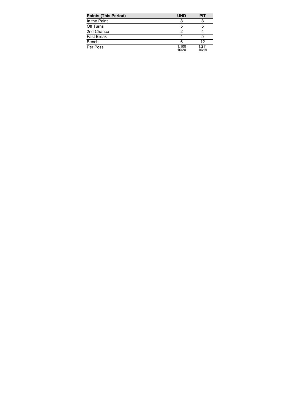| <b>Points (This Period)</b> | <b>UND</b>     | <b>PIT</b>       |
|-----------------------------|----------------|------------------|
| In the Paint                |                |                  |
| Off Turns                   | 5              | 5                |
| 2nd Chance                  |                |                  |
| <b>Fast Break</b>           |                | 5                |
| Bench                       | 6              | 12               |
| Per Poss                    | 1.100<br>10/20 | 1 2 1 1<br>10/19 |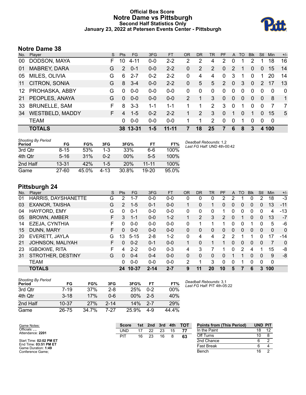## **Official Box Score Notre Dame vs Pittsburgh Second Half Statistics Only January 23, 2022 at Petersen Events Center - Pittsburgh**



# **Notre Dame 38**

| No.              | Player                 | S. | <b>Pts</b> | FG.      | 3FG     | <b>FT</b> | <b>OR</b> | D <sub>R</sub> | TR             | <b>PF</b>      | $\mathsf{A}$   | TO       | <b>Blk</b> | Stl            | <b>Min</b>   | $+/-$        |
|------------------|------------------------|----|------------|----------|---------|-----------|-----------|----------------|----------------|----------------|----------------|----------|------------|----------------|--------------|--------------|
| 00               | DODSON, MAYA           | F  | 10         | $4 - 11$ | $0 - 0$ | $2 - 2$   | 2         | 2              | 4              | 2              | 0              |          | 2          |                | 18           | 16           |
| 01               | <b>MABREY, DARA</b>    | G  | 2          | $0 - 1$  | $0-0$   | $2 - 2$   | 0         | 2              | 2              | 0              | 2              |          | 0          | 0              | 15           | 14           |
| 05               | MILES, OLIVIA          | G  | 6          | $2 - 7$  | $0 - 2$ | $2 - 2$   | 0         | 4              | 4              | $\Omega$       | 3              | 1        | $\Omega$   |                | 20           | 14           |
| 11               | CITRON, SONIA          | G  | 8          | $3 - 4$  | $0-0$   | $2 - 2$   | 0         | 5              | 5              | $\overline{2}$ | $\overline{0}$ | 3        | 0          | 2              | 17           | 13           |
| 12 <sup>12</sup> | PROHASKA, ABBY         | G  | $\Omega$   | $0 - 0$  | $0 - 0$ | $0-0$     | 0         | $\Omega$       | 0              | $\Omega$       | $\mathbf{0}$   | $\Omega$ | $\Omega$   | $\Omega$       | $\Omega$     | $\mathbf 0$  |
| $21 \,$          | PEOPLES, ANAYA         | G  | $\Omega$   | $0 - 0$  | $0 - 0$ | $0-0$     | 2         |                | 3              | $\Omega$       | $\mathbf{0}$   | $\Omega$ | $\Omega$   | $\overline{0}$ | 8            | $\mathbf{1}$ |
| 33               | <b>BRUNELLE, SAM</b>   | F  | 8          | $3 - 3$  | 1-1     | $1 - 1$   |           | 1              | $\overline{2}$ | 3              | $\mathbf{0}$   |          | 0          | $\Omega$       |              | 7            |
| 34               | <b>WESTBELD, MADDY</b> | F. | 4          | $1 - 5$  | $0 - 2$ | $2 - 2$   |           | 2              | 3              | 0              |                | $\Omega$ | 1          | $\Omega$       | 15           | 5            |
|                  | <b>TEAM</b>            |    | 0          | $0 - 0$  | $0-0$   | $0 - 0$   |           | 1              | 2              | $\Omega$       | $\mathbf{0}$   |          | 0          | 0              | $\mathbf{0}$ |              |
|                  | <b>TOTALS</b>          |    |            | 38 13-31 | $1 - 5$ | $11 - 11$ | 7         | 18             | 25             | 7              | 6              | 8        | 3          |                | 4 100        |              |

| <b>Shooting By Period</b><br>Period | FG        | FG%   | 3FG     | 3FG%   | FT        | FT%   | Deadball Rebounds: 1,2<br>Last FG Half: UND 4th-00:42 |
|-------------------------------------|-----------|-------|---------|--------|-----------|-------|-------------------------------------------------------|
| 3rd Otr                             | 8-15      | 53%   | $1 - 3$ | 33%    | $6-6$     | 100%  |                                                       |
| 4th Qtr                             | $5 - 16$  | 31%   | $0 - 2$ | $00\%$ | $5-5$     | 100%  |                                                       |
| 2nd Half                            | $13 - 31$ | 42%   | $1 - 5$ | 20%    | $11 - 11$ | 100%  |                                                       |
| Game                                | $27 - 60$ | 45.0% | 4-13    | 30.8%  | $19 - 20$ | 95.0% |                                                       |

# **Pittsburgh 24**

| No. | Player                | S  | <b>Pts</b>    | FG        | 3FG      | <b>FT</b> | <b>OR</b> | DR       | TR       | <b>PF</b>      | A | TO | <b>B</b> lk    | Stl      | Min      | $+/-$        |
|-----|-----------------------|----|---------------|-----------|----------|-----------|-----------|----------|----------|----------------|---|----|----------------|----------|----------|--------------|
| 01  | HARRIS, DAYSHANETTE   | G  | 2             | 1-7       | $0 - 0$  | $0 - 0$   | 0         | 0        | 0        | 2              | 2 |    | 0              | 2        | 18       | $-3$         |
| 03  | <b>EXANOR, TAISHA</b> | G  | $\mathcal{P}$ | $1 - 5$   | $0 - 1$  | $0 - 0$   |           | $\Omega$ |          | 0              | 0 | 0  | $\mathbf{0}$   | 0        | 13       | $-11$        |
| 04  | HAYFORD, EMY          | G  | 0             | $0 - 1$   | $0 - 0$  | $0 - 0$   | 0         | 0        | 0        |                | 0 | 0  | 0              | 0        | 4        | -13          |
| 05  | <b>BROWN, AMBER</b>   | F  | 3             | $1 - 1$   | $0 - 0$  | $1 - 2$   |           | 2        | 3        | $\overline{2}$ | 0 |    | $\overline{0}$ | $\Omega$ | 13       | $-7$         |
| 14  | EZEJA, CYNTHIA        | F  | 0             | $0 - 0$   | $0 - 0$  | $0 - 0$   | 0         |          |          |                | 0 | 0  |                | 0        | 5        | -6           |
| 15  | DUNN, MARY            | F  | 0             | $0 - 0$   | $0 - 0$  | $0 - 0$   | 0         | 0        | 0        | 0              | 0 | 0  | $\overline{0}$ | 0        | $\Omega$ | $\mathbf{0}$ |
| 20  | EVERETT, JAYLA        | G  | 13            | $5 - 15$  | $2 - 8$  | $1 - 2$   | 0         | 4        | 4        | 2              | 2 |    |                | 0        | 17       | $-14$        |
| 21  | JOHNSON, MALIYAH      | F. | 0             | $0 - 2$   | $0 - 1$  | $0 - 0$   | 1         | $\Omega$ |          |                | 0 | 0  | $\mathbf{0}$   | 0        | 7        | $\Omega$     |
| 23  | <b>IGBOKWE, RITA</b>  | F  | 4             | $2 - 2$   | $0 - 0$  | $0 - 3$   | 4         | 3        |          |                | 0 | 2  | 4              |          | 15       | -8           |
| 31  | STROTHER, DESTINY     | G  | 0             | $0 - 4$   | $0 - 4$  | $0 - 0$   | $\Omega$  | $\Omega$ | $\Omega$ | 0              |   |    | $\Omega$       | $\Omega$ | 9        | -8           |
|     | <b>TEAM</b>           |    | 0             | $0 - 0$   | $0 - 0$  | $0 - 0$   | 2         |          | 3        | $\Omega$       | 0 |    | 0              | 0        | 0        |              |
|     | <b>TOTALS</b>         |    | 24            | $10 - 37$ | $2 - 14$ | $2 - 7$   | 9         | 11       | 20       | 10             | 5 |    | 6              | 3        | 100      |              |

| <b>Shooting By Period</b><br>Period | FG        | FG%   | 3FG      | 3FG%   | FT      | FT%   |
|-------------------------------------|-----------|-------|----------|--------|---------|-------|
| 3rd Otr                             | $7 - 19$  | 37%   | $2 - 8$  | 25%    | $0 - 2$ | 00%   |
| 4th Otr                             | $3 - 18$  | 17%   | Ი-Ნ      | $00\%$ | $2-5$   | 40%   |
| 2nd Half                            | $10 - 37$ | 27%   | $2 - 14$ | 14%    | $2 - 7$ | 29%   |
| Game                                | 26-75     | 34.7% | 7-27     | 25.9%  | 4-9     | 44.4% |

*Deadball Rebounds:* 3,1 *Last FG Half:* PIT 4th-05:22

| Game Notes:                                  | <b>TOT</b><br>4th<br>3rd<br>1st<br>2nd<br><b>Score</b> |    |    |    |    |    | <b>Points from (This Period)</b> | <b>UND PIT</b> |    |  |
|----------------------------------------------|--------------------------------------------------------|----|----|----|----|----|----------------------------------|----------------|----|--|
| Officials:<br>Attendance: 2201               | UND                                                    |    | つつ | 23 | 15 |    | In the Paint                     | 18             | 12 |  |
|                                              | PI1                                                    | 16 | 23 | 16 |    | 63 | Off Turns                        | 10             |    |  |
| Start Time: 02:02 PM ET                      |                                                        |    |    |    |    |    | 2nd Chance                       |                |    |  |
| End Time: 03:51 PM ET<br>Game Duration: 1:49 |                                                        |    |    |    |    |    | <b>Fast Break</b>                |                |    |  |
| Conference Game:                             |                                                        |    |    |    |    |    | Bench                            | 16             |    |  |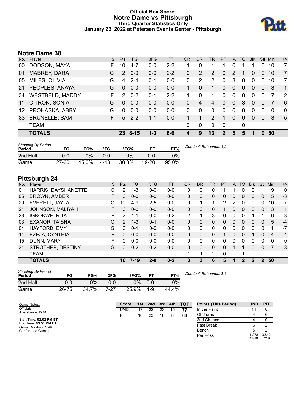### **Official Box Score Notre Dame vs Pittsburgh Third Quarter Statistics Only January 23, 2022 at Petersen Events Center - Pittsburgh**



# **Notre Dame 38**

| No.             | Player                 | S. | Pts           | FG.      | 3FG     | <b>FT</b> | 0R       | <b>DR</b>   | <b>TR</b>      | <b>PF</b>   | A            | TO       | <b>Blk</b> | Stl            | Min      | $+/-$          |
|-----------------|------------------------|----|---------------|----------|---------|-----------|----------|-------------|----------------|-------------|--------------|----------|------------|----------------|----------|----------------|
| 00              | DODSON, MAYA           | F. | 10            | $4 - 7$  | $0 - 0$ | $2 - 2$   |          | 0           |                |             | 0            |          |            | 0              | 10       | 7              |
| 01              | MABREY, DARA           | G  | 2             | $0 - 0$  | $0-0$   | $2 - 2$   | 0        | 2           | $\overline{2}$ | 0           | 2            |          | 0          | $\overline{0}$ | 10       | 7              |
| 05              | MILES, OLIVIA          | G  | 4             | $2 - 4$  | 0-1     | $0-0$     | $\Omega$ | 2           | 2              | $\Omega$    | 3            | $\Omega$ | 0          | $\Omega$       | 10       | 7              |
| 21              | PEOPLES, ANAYA         | G  | $\Omega$      | $0 - 0$  | $0 - 0$ | $0 - 0$   |          | $\Omega$    | 1              | 0           | $\mathbf{0}$ | $\Omega$ | $\Omega$   | 0              | 3        | $\overline{1}$ |
| 34              | <b>WESTBELD, MADDY</b> | F. | $\mathcal{P}$ | $0 - 2$  | 0-1     | $2 - 2$   |          | $\Omega$    | 1              | 0           | $\mathbf{0}$ | 0        | $\Omega$   | 0              |          | 2              |
| 11              | CITRON, SONIA          | G  | $\Omega$      | $0 - 0$  | $0 - 0$ | $0 - 0$   | 0        | 4           | 4              | $\Omega$    | $\Omega$     | 3        | $\Omega$   | $\Omega$       |          | 6              |
| 12 <sup>1</sup> | PROHASKA, ABBY         | G  | $\Omega$      | $0 - 0$  | $0-0$   | $0-0$     | 0        | 0           | 0              | $\Omega$    | $\mathbf{0}$ | 0        | 0          | $\Omega$       | $\Omega$ | $\mathbf{0}$   |
| 33              | <b>BRUNELLE, SAM</b>   | F. | 5             | $2 - 2$  | $1 - 1$ | $0 - 0$   |          | 1           | $\overline{2}$ |             | $\Omega$     | $\Omega$ | 0          | $\Omega$       | 3        | 5              |
|                 | <b>TEAM</b>            |    |               |          |         |           | 0        | $\mathbf 0$ | $\Omega$       | $\mathbf 0$ |              | 0        |            |                |          |                |
|                 | <b>TOTALS</b>          |    | 23.           | $8 - 15$ | $1 - 3$ | 6-6       |          | 9           | 13             | 2           | 5            | 5        | 1          | $\Omega$       | 50       |                |
|                 |                        |    |               |          |         |           |          |             |                |             |              |          |            |                |          |                |

| <b>Shooting By Period</b><br>Period | FG        | FG%   | 3FG     | 3FG%  | FT        | FT%   | Deadball Rebounds: 1,2 |
|-------------------------------------|-----------|-------|---------|-------|-----------|-------|------------------------|
| 2nd Half                            | 0-0       | 0%    | $0 - 0$ | 0%    | 0-0       | $0\%$ |                        |
| Game                                | $27 - 60$ | 45.0% | -4-13   | 30.8% | $19 - 20$ | 95.0% |                        |

# **Pittsburgh 24**

| No. | Plaver                  | S  | <b>Pts</b> | <b>FG</b> | 3FG     | <b>FT</b> | <b>OR</b>    | DR           | TR | PF | A            | TO          | <b>Blk</b>     | Stl           | Min         | $+/-$        |
|-----|-------------------------|----|------------|-----------|---------|-----------|--------------|--------------|----|----|--------------|-------------|----------------|---------------|-------------|--------------|
| 01  | HARRIS, DAYSHANETTE     | G  | 2          | 1-3       | $0-0$   | $0-0$     | 0            | 0            | 0  |    |              |             |                |               | 9           | 0            |
| 05  | <b>BROWN, AMBER</b>     | F. | 0          | $0 - 0$   | $0-0$   | $0 - 0$   | $\Omega$     | 0            | 0  | 0  | 0            | 0           | 0              | 0             | 5           | $-3$         |
| 20  | EVERETT, JAYLA          | G  | 10         | $4-9$     | $2 - 5$ | $0 - 0$   | 0            |              | 1  | 2  | 2            | 0           | 0              | 0             | 10          | $-7$         |
| 21  | <b>JOHNSON, MALIYAH</b> | F. | 0          | $0 - 0$   | $0 - 0$ | $0 - 0$   | $\mathbf{0}$ | 0            | 0  |    | 0            | $\Omega$    | 0              | $\mathbf{0}$  | 3           | 1            |
| 23  | <b>IGBOKWE, RITA</b>    | F. | 2          | $1 - 1$   | $0 - 0$ | $0 - 2$   | 2            |              | 3  | 0  | $\mathbf{0}$ | $\Omega$    | 1              |               | 6           | -3           |
| 03  | <b>EXANOR, TAISHA</b>   | G  | 2          | $1 - 3$   | $0 - 1$ | $0 - 0$   | $\mathbf{0}$ | 0            | 0  | 0  | $\mathbf{0}$ | $\Omega$    | 0              | $\Omega$      | 5           | $-4$         |
| 04  | HAYFORD, EMY            | G  | 0          | $0 - 1$   | $0 - 0$ | $0-0$     | 0            | 0            | 0  | 0  | 0            | 0           | 0              | 0             |             | $-7$         |
| 14  | EZEJA, CYNTHIA          | F  | 0          | $0 - 0$   | $0 - 0$ | $0 - 0$   | $\Omega$     | 0            | 0  |    | $\Omega$     | $\Omega$    |                | $\Omega$      | 4           | $-4$         |
| 15  | DUNN, MARY              | F. | 0          | $0 - 0$   | $0 - 0$ | $0 - 0$   | 0            | $\Omega$     | 0  | 0  | 0            | $\Omega$    | 0              | 0             | $\mathbf 0$ | $\mathbf{0}$ |
| 31  | STROTHER, DESTINY       | G  | 0          | $0 - 2$   | $0 - 2$ | $0 - 0$   | $\mathbf{0}$ | $\mathbf{0}$ | 0  | 0  |              |             | 0              | 0             | 7           | -8           |
|     | <b>TEAM</b>             |    |            |           |         |           |              | 1            | 2  | 0  |              |             |                |               |             |              |
|     | <b>TOTALS</b>           |    | 16         | $7-19$    | $2 - 8$ | $0 - 2$   | 3            | 3            | 6  | 5  | 4            | $\mathbf 2$ | $\overline{2}$ | $\mathcal{P}$ | 50          |              |

| <b>Shooting By Period</b><br>Period | FG    | FG%   | 3FG  | 3FG%  | <b>FT</b> | FT%   | Deadball Rebounds: 3,1 |
|-------------------------------------|-------|-------|------|-------|-----------|-------|------------------------|
| 2nd Half                            | 0-0   | 0%    | 0-0  | 0%    | $0 - 0$   | $0\%$ |                        |
| Game                                | 26-75 | 34.7% | 7-27 | 25.9% | 4-9       | 44.4% |                        |

| Game Notes:                                  | <b>Score</b> |    | 1st 2nd | 3rd | 4th | <b>- тот</b> | <b>Points (This Period)</b> | <b>UND</b>    | <b>PIT</b>    |
|----------------------------------------------|--------------|----|---------|-----|-----|--------------|-----------------------------|---------------|---------------|
| Officials: , ,<br>Attendance: 2201           | <b>UND</b>   |    | 22      | 23  | 15  |              | In the Paint                | 14            |               |
|                                              | PIT          | 16 | 23      | 16  |     | 63           | Off Turns                   |               |               |
| Start Time: 02:02 PM ET                      |              |    |         |     |     |              | 2nd Chance                  |               |               |
| End Time: 03:51 PM ET<br>Game Duration: 1:49 |              |    |         |     |     |              | <b>Fast Break</b>           |               |               |
| Conference Game;                             |              |    |         |     |     |              | Bench                       |               |               |
|                                              |              |    |         |     |     |              | Per Poss                    | .278<br>11/18 | 0.842<br>7/19 |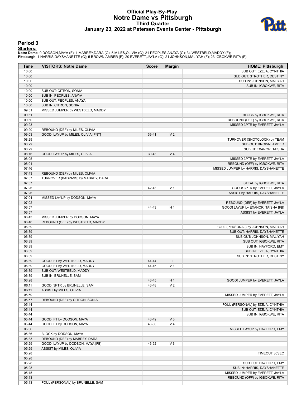## **Official Play-By-Play Notre Dame vs Pittsburgh Third Quarter January 23, 2022 at Petersen Events Center - Pittsburgh**



#### **Period 3**

<mark>Starters:</mark><br>Notre Dame: 0 DODSON,MAYA (F); 1 MABREY,DARA (G); 5 MILES,OLIVIA (G); 21 PEOPLES,ANAYA (G); 34 WESTBELD,MADDY (F);<br>Pittsburgh: 1 HARRIS,DAYSHANETTE (G); 5 BROWN,AMBER (F); 20 EVERETT,JAYLA (G); 21 JOHNSON,MALIY

| Time           | <b>VISITORS: Notre Dame</b>        | <b>Score</b> | <b>Margin</b>  | <b>HOME: Pittsburgh</b>              |
|----------------|------------------------------------|--------------|----------------|--------------------------------------|
| 10:00          |                                    |              |                | SUB OUT: EZEJA, CYNTHIA              |
| 10:00          |                                    |              |                | SUB OUT: STROTHER, DESTINY           |
| 10:00          |                                    |              |                | SUB IN: JOHNSON, MALIYAH             |
| 10:00          |                                    |              |                | SUB IN: IGBOKWE, RITA                |
| 10:00          | SUB OUT: CITRON, SONIA             |              |                |                                      |
| 10:00          | SUB IN: PEOPLES, ANAYA             |              |                |                                      |
| 10:00          | SUB OUT: PEOPLES, ANAYA            |              |                |                                      |
| 10:00          | SUB IN: CITRON, SONIA              |              |                |                                      |
| 09:51          | MISSED JUMPER by WESTBELD, MADDY   |              |                |                                      |
| 09:51          |                                    |              |                | BLOCK by IGBOKWE, RITA               |
| 09:50          |                                    |              |                | REBOUND (DEF) by IGBOKWE, RITA       |
| 09:23          |                                    |              |                | MISSED 3PTR by EVERETT, JAYLA        |
| 09:20          | REBOUND (DEF) by MILES, OLIVIA     |              |                |                                      |
| 09:03          | GOOD! LAYUP by MILES, OLIVIA [PNT] | 39-41        | V <sub>2</sub> |                                      |
| 08:29<br>08:29 |                                    |              |                | TURNOVER (SHOTCLOCK) by TEAM         |
| 08:29          |                                    |              |                | SUB OUT: BROWN, AMBER                |
| 08:16          | GOOD! LAYUP by MILES, OLIVIA       | 39-43        | V <sub>4</sub> | SUB IN: EXANOR, TAISHA               |
| 08:05          |                                    |              |                | MISSED 3PTR by EVERETT, JAYLA        |
| 08:01          |                                    |              |                | REBOUND (OFF) by IGBOKWE, RITA       |
| 07:46          |                                    |              |                | MISSED JUMPER by HARRIS, DAYSHANETTE |
| 07:43          | REBOUND (DEF) by MILES, OLIVIA     |              |                |                                      |
| 07:37          | TURNOVER (BADPASS) by MABREY, DARA |              |                |                                      |
| 07:37          |                                    |              |                | STEAL by IGBOKWE, RITA               |
| 07:26          |                                    | 42-43        | V <sub>1</sub> | GOOD! 3PTR by EVERETT, JAYLA         |
| 07:26          |                                    |              |                | ASSIST by HARRIS, DAYSHANETTE        |
| 07:04          | MISSED LAYUP by DODSON, MAYA       |              |                |                                      |
| 07:02          |                                    |              |                | REBOUND (DEF) by EVERETT, JAYLA      |
| 06:57          |                                    | 44-43        | H <sub>1</sub> | GOOD! LAYUP by EXANOR, TAISHA [FB]   |
| 06:57          |                                    |              |                | ASSIST by EVERETT, JAYLA             |
| 06:43          | MISSED JUMPER by DODSON, MAYA      |              |                |                                      |
| 06:40          | REBOUND (OFF) by WESTBELD, MADDY   |              |                |                                      |
| 06:39          |                                    |              |                | FOUL (PERSONAL) by JOHNSON, MALIYAH  |
| 06:39          |                                    |              |                | SUB OUT: HARRIS, DAYSHANETTE         |
| 06:39          |                                    |              |                | SUB OUT: JOHNSON, MALIYAH            |
| 06:39          |                                    |              |                | SUB OUT: IGBOKWE, RITA               |
| 06:39          |                                    |              |                | SUB IN: HAYFORD, EMY                 |
| 06:39          |                                    |              |                | SUB IN: EZEJA, CYNTHIA               |
| 06:39          |                                    |              |                | SUB IN: STROTHER, DESTINY            |
| 06:39          | GOOD! FT by WESTBELD, MADDY        | 44-44        | $\mathsf{T}$   |                                      |
| 06:39          | GOOD! FT by WESTBELD, MADDY        | 44-45        | V <sub>1</sub> |                                      |
| 06:39<br>06:39 | SUB OUT: WESTBELD, MADDY           |              |                |                                      |
| 06:28          | SUB IN: BRUNELLE, SAM              | 46-45        | H 1            | GOOD! JUMPER by EVERETT, JAYLA       |
| 06:11          | GOOD! 3PTR by BRUNELLE, SAM        | 46-48        | V <sub>2</sub> |                                      |
| 06:11          | ASSIST by MILES, OLIVIA            |              |                |                                      |
| 05:59          |                                    |              |                | MISSED JUMPER by EVERETT, JAYLA      |
| 05:57          | REBOUND (DEF) by CITRON, SONIA     |              |                |                                      |
| 05:44          |                                    |              |                | FOUL (PERSONAL) by EZEJA, CYNTHIA    |
| 05:44          |                                    |              |                | SUB OUT: EZEJA, CYNTHIA              |
| 05:44          |                                    |              |                | SUB IN: IGBOKWE, RITA                |
| 05:44          | GOOD! FT by DODSON, MAYA           | 46-49        | $V_3$          |                                      |
| 05:44          | GOOD! FT by DODSON, MAYA           | 46-50        | V <sub>4</sub> |                                      |
| 05:36          |                                    |              |                | MISSED LAYUP by HAYFORD, EMY         |
| 05:36          | BLOCK by DODSON, MAYA              |              |                |                                      |
| 05:33          | REBOUND (DEF) by MABREY, DARA      |              |                |                                      |
| 05:29          | GOOD! LAYUP by DODSON, MAYA [FB]   | 46-52        | $V_6$          |                                      |
| 05:29          | ASSIST by MILES, OLIVIA            |              |                |                                      |
| 05:28          |                                    |              |                | TIMEOUT 30SEC                        |
| 05:28          |                                    |              |                |                                      |
| 05:28          |                                    |              |                | SUB OUT: HAYFORD, EMY                |
| 05:28          |                                    |              |                | SUB IN: HARRIS, DAYSHANETTE          |
| 05:15          |                                    |              |                | MISSED JUMPER by EVERETT, JAYLA      |
| 05:13          |                                    |              |                | REBOUND (OFF) by IGBOKWE, RITA       |
| 05:13          | FOUL (PERSONAL) by BRUNELLE, SAM   |              |                |                                      |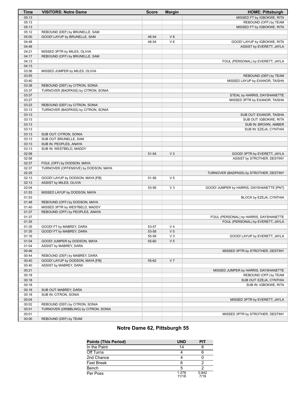| Time  | <b>VISITORS: Notre Dame</b>           | <b>Score</b> | <b>Margin</b>  | <b>HOME: Pittsburgh</b>                   |
|-------|---------------------------------------|--------------|----------------|-------------------------------------------|
| 05:13 |                                       |              |                | MISSED FT by IGBOKWE, RITA                |
| 05:13 |                                       |              |                | REBOUND (OFF) by TEAM                     |
| 05:13 |                                       |              |                | MISSED FT by IGBOKWE, RITA                |
| 05:12 | REBOUND (DEF) by BRUNELLE, SAM        |              |                |                                           |
| 05:00 | GOOD! LAYUP by BRUNELLE, SAM          | 46-54        | V8             |                                           |
| 04:48 |                                       | 48-54        | $V_6$          | GOOD! LAYUP by IGBOKWE, RITA              |
| 04:48 |                                       |              |                | ASSIST by EVERETT, JAYLA                  |
| 04:21 | MISSED 3PTR by MILES, OLIVIA          |              |                |                                           |
| 04:17 | REBOUND (OFF) by BRUNELLE, SAM        |              |                |                                           |
| 04:13 |                                       |              |                | FOUL (PERSONAL) by EVERETT, JAYLA         |
| 04:13 |                                       |              |                |                                           |
| 03:56 | MISSED JUMPER by MILES, OLIVIA        |              |                |                                           |
| 03:55 |                                       |              |                | REBOUND (DEF) by TEAM                     |
| 03:40 |                                       |              |                | MISSED LAYUP by EXANOR, TAISHA            |
| 03:38 | REBOUND (DEF) by CITRON, SONIA        |              |                |                                           |
| 03:37 | TURNOVER (BADPASS) by CITRON, SONIA   |              |                |                                           |
| 03:37 |                                       |              |                | STEAL by HARRIS, DAYSHANETTE              |
| 03:27 |                                       |              |                | MISSED 3PTR by EXANOR, TAISHA             |
| 03:23 | REBOUND (DEF) by CITRON, SONIA        |              |                |                                           |
| 03:13 | TURNOVER (BADPASS) by CITRON, SONIA   |              |                |                                           |
| 03:13 |                                       |              |                | SUB OUT: EXANOR, TAISHA                   |
| 03:13 |                                       |              |                | SUB OUT: IGBOKWE, RITA                    |
| 03:13 |                                       |              |                | SUB IN: BROWN, AMBER                      |
| 03:13 |                                       |              |                | SUB IN: EZEJA, CYNTHIA                    |
| 03:13 | SUB OUT: CITRON, SONIA                |              |                |                                           |
| 03:13 | SUB OUT: BRUNELLE, SAM                |              |                |                                           |
| 03:13 | SUB IN: PEOPLES, ANAYA                |              |                |                                           |
| 03:13 | SUB IN: WESTBELD, MADDY               |              |                |                                           |
| 02:58 |                                       | 51-54        | $V_3$          | GOOD! 3PTR by EVERETT, JAYLA              |
| 02:58 |                                       |              |                | ASSIST by STROTHER, DESTINY               |
| 02:37 | FOUL (OFF) by DODSON, MAYA            |              |                |                                           |
| 02:37 | TURNOVER (OFFENSIVE) by DODSON, MAYA  |              |                |                                           |
| 02:25 |                                       |              |                | TURNOVER (BADPASS) by STROTHER, DESTINY   |
| 02:13 | GOOD! LAYUP by DODSON, MAYA [FB]      | 51-56        | V <sub>5</sub> |                                           |
| 02:13 | ASSIST by MILES, OLIVIA               |              |                |                                           |
| 02:04 |                                       | 53-56        | $V_3$          | GOOD! JUMPER by HARRIS, DAYSHANETTE [PNT] |
| 01:53 | MISSED LAYUP by DODSON, MAYA          |              |                |                                           |
| 01:53 |                                       |              |                | BLOCK by EZEJA, CYNTHIA                   |
| 01:48 | REBOUND (OFF) by DODSON, MAYA         |              |                |                                           |
| 01:40 | MISSED 3PTR by WESTBELD, MADDY        |              |                |                                           |
| 01:37 | REBOUND (OFF) by PEOPLES, ANAYA       |              |                |                                           |
| 01:37 |                                       |              |                | FOUL (PERSONAL) by HARRIS, DAYSHANETTE    |
| 01:35 |                                       |              |                | FOUL (PERSONAL) by EVERETT, JAYLA         |
| 01:35 | GOOD! FT by MABREY, DARA              | 53-57        | V <sub>4</sub> |                                           |
| 01:35 | GOOD! FT by MABREY, DARA              | 53-58        | V <sub>5</sub> |                                           |
| 01:16 |                                       | 55-58        | $V_3$          | GOOD! LAYUP by EVERETT, JAYLA             |
| 01:04 | GOOD! JUMPER by DODSON, MAYA          | 55-60        | V <sub>5</sub> |                                           |
| 01:04 | ASSIST by MABREY, DARA                |              |                |                                           |
| 00:46 |                                       |              |                | MISSED 3PTR by STROTHER, DESTINY          |
| 00:44 | REBOUND (DEF) by MABREY, DARA         |              |                |                                           |
| 00:40 | GOOD! LAYUP by DODSON, MAYA [FB]      | 55-62        | V <sub>7</sub> |                                           |
| 00:40 | ASSIST by MABREY, DARA                |              |                |                                           |
| 00:21 |                                       |              |                | MISSED JUMPER by HARRIS, DAYSHANETTE      |
| 00:18 |                                       |              |                | REBOUND (OFF) by TEAM                     |
| 00:18 |                                       |              |                | SUB OUT: EZEJA, CYNTHIA                   |
| 00:18 |                                       |              |                | SUB IN: IGBOKWE, RITA                     |
| 00:18 | SUB OUT: MABREY, DARA                 |              |                |                                           |
| 00:18 | SUB IN: CITRON, SONIA                 |              |                |                                           |
| 00:04 |                                       |              |                | MISSED 3PTR by EVERETT, JAYLA             |
| 00:02 | REBOUND (DEF) by CITRON, SONIA        |              |                |                                           |
| 00:01 | TURNOVER (DRIBBLING) by CITRON, SONIA |              |                |                                           |
| 00:01 |                                       |              |                | MISSED 3PTR by STROTHER, DESTINY          |
| 00:00 | REBOUND (DEF) by TEAM                 |              |                |                                           |

# **Notre Dame 62, Pittsburgh 55**

| <b>Points (This Period)</b> | <b>UND</b>     | PIT           |
|-----------------------------|----------------|---------------|
| In the Paint                | 14             |               |
| Off Turns                   |                |               |
| 2nd Chance                  |                |               |
| <b>Fast Break</b>           |                |               |
| Bench                       |                |               |
| Per Poss                    | 1.278<br>11/18 | 0.842<br>7/19 |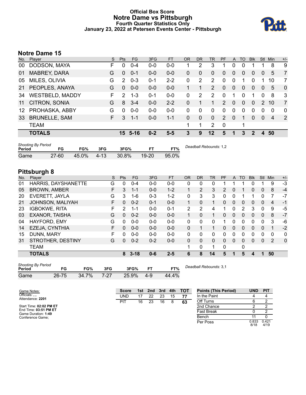### **Official Box Score Notre Dame vs Pittsburgh Fourth Quarter Statistics Only January 23, 2022 at Petersen Events Center - Pittsburgh**



# **Notre Dame 15**

|                 | No. Player             | S. | <b>Pts</b>    | FG      | 3FG     | <b>FT</b> | <b>OR</b> | <b>DR</b>    | TR             | PF             | A        | TO       | <b>Blk</b> | Stl            | Min | $+/-$          |
|-----------------|------------------------|----|---------------|---------|---------|-----------|-----------|--------------|----------------|----------------|----------|----------|------------|----------------|-----|----------------|
| 00              | DODSON, MAYA           | F  | 0             | $0 - 4$ | $0 - 0$ | $0 - 0$   | 1         | 2            | 3              | 1              | 0        | 0        |            |                | 8   | 9              |
| 01              | <b>MABREY, DARA</b>    | G  | 0             | $0 - 1$ | $0 - 0$ | $0-0$     | 0         | 0            | $\mathbf{0}$   | 0              | 0        | 0        | 0          | $\overline{0}$ | 5   | $\overline{7}$ |
| 05              | MILES, OLIVIA          | G  | 2             | $0 - 3$ | $0 - 1$ | $2 - 2$   | 0         | 2            | 2              | 0              | 0        |          | 0          |                | 10  | 7              |
| 21              | PEOPLES, ANAYA         | G  | 0             | $0-0$   | $0 - 0$ | $0-0$     |           |              | 2              | 0              | $\Omega$ | $\Omega$ | 0          | $\overline{0}$ | 5   | $\overline{0}$ |
| 34              | <b>WESTBELD, MADDY</b> | F. | $\mathcal{P}$ | $1 - 3$ | $0 - 1$ | $0-0$     | $\Omega$  | 2            | $\overline{2}$ | $\Omega$       | 1        | 0        | 1          | $\Omega$       | 8   | 3              |
| 11              | CITRON, SONIA          | G  | 8             | $3 - 4$ | $0-0$   | $2 - 2$   | 0         |              | 1              | $\mathcal{P}$  | $\Omega$ | $\Omega$ | $\Omega$   | $\mathcal{P}$  | 10  | $\overline{7}$ |
| 12 <sup>1</sup> | PROHASKA, ABBY         | G  | 0             | $0 - 0$ | $0 - 0$ | $0-0$     | $\Omega$  | 0            | $\Omega$       | 0              | 0        | 0        | 0          | $\Omega$       | 0   | $\mathbf{0}$   |
| 33              | <b>BRUNELLE, SAM</b>   | F. | 3             | $1 - 1$ | $0 - 0$ | $1 - 1$   | $\Omega$  | $\mathbf{0}$ | $\mathbf{0}$   | $\overline{2}$ | $\Omega$ |          | 0          | $\Omega$       | 4   | $\overline{2}$ |
|                 | <b>TEAM</b>            |    |               |         |         |           | 1         |              | $\overline{2}$ | $\mathbf 0$    |          |          |            |                |     |                |
|                 | <b>TOTALS</b>          |    | 15            | - 5-16  | $0 - 2$ | $5 - 5$   | 3         | 9            | 12             | 5              |          | 3        | 2          | 4              | 50  |                |
|                 |                        |    |               |         |         |           |           |              |                |                |          |          |            |                |     |                |

| <b>Shooting By Period</b><br>Period | FG        | FG%   | 3FG     | 3FG%     | FT        | FT%   | Deadball Rebounds: 1,2 |
|-------------------------------------|-----------|-------|---------|----------|-----------|-------|------------------------|
| Game                                | $27 - 60$ | 45.0% | $-4-13$ | $30.8\%$ | $19 - 20$ | 95.0% |                        |

# **Pittsburgh 8**

| No. | Plaver                | S  | <b>Pts</b>    | <b>FG</b> | 3FG     | <b>FT</b> | <b>OR</b> | <b>DR</b> | <b>TR</b>    | PF | A            | TO       | <b>Blk</b> | Stl          | Min | $+/-$        |
|-----|-----------------------|----|---------------|-----------|---------|-----------|-----------|-----------|--------------|----|--------------|----------|------------|--------------|-----|--------------|
| 01  | HARRIS, DAYSHANETTE   | G  | 0             | $0 - 4$   | $0 - 0$ | $0 - 0$   | 0         | 0         | 0            |    |              |          |            |              | 9   | -3           |
| 05  | <b>BROWN, AMBER</b>   | F  | 3             | $1 - 1$   | $0 - 0$ | $1 - 2$   |           | 2         | 3            | 2  | 0            |          | 0          | 0            | 8   | $-4$         |
| 20  | EVERETT, JAYLA        | G  | 3             | 1-6       | $0 - 3$ | $1 - 2$   | 0         | 3         | 3            | 0  | 0            |          |            | 0            |     | $-7$         |
| 21  | JOHNSON, MALIYAH      | F. | 0             | $0 - 2$   | $0 - 1$ | $0 - 0$   | 1         | $\Omega$  | 1            | 0  | $\mathbf{0}$ | $\Omega$ | 0          | $\mathbf{0}$ | 4   | $-1$         |
| 23  | <b>IGBOKWE, RITA</b>  | F  | $\mathcal{P}$ | $1 - 1$   | $0 - 0$ | $0 - 1$   | 2         | 2         | 4            | 1  | $\Omega$     | 2        | 3          | 0            | 9   | -5           |
| 03  | <b>EXANOR, TAISHA</b> | G  | $\Omega$      | $0 - 2$   | $0 - 0$ | $0 - 0$   | 1.        | $\Omega$  | $\mathbf{1}$ | 0  | $\mathbf{0}$ | $\Omega$ | $\Omega$   | $\Omega$     | 8   | $-7$         |
| 04  | HAYFORD, EMY          | G  | $\Omega$      | $0 - 0$   | $0 - 0$ | $0-0$     | 0         | $\Omega$  | 0            |    | $\mathbf{0}$ | $\Omega$ | 0          | $\Omega$     | 3   | -6           |
| 14  | EZEJA, CYNTHIA        | F  | 0             | $0 - 0$   | $0 - 0$ | $0 - 0$   | $\Omega$  |           | 1            | 0  | $\mathbf{0}$ | $\Omega$ | 0          | $\Omega$     |     | $-2$         |
| 15  | DUNN, MARY            | F  | O             | $0 - 0$   | $0 - 0$ | $0 - 0$   | 0         | 0         | 0            | 0  | 0            | 0        | 0          | 0            | 0   | 0            |
| 31  | STROTHER, DESTINY     | G  | 0             | $0 - 2$   | $0 - 2$ | $0 - 0$   | $\Omega$  | 0         | 0            | 0  | $\Omega$     | $\Omega$ | $\Omega$   | $\Omega$     | 2   | $\mathbf{0}$ |
|     | <b>TEAM</b>           |    |               |           |         |           | 1         | 0         | 1            | 0  |              | 0        |            |              |     |              |
|     | <b>TOTALS</b>         |    | 8             | $3 - 18$  | $0 - 6$ | $2 - 5$   | 6         | 8         | 14           | 5  |              | 5        | 4          | 1            | 50  |              |

| <b>Shooting By Period</b> |       |       |      |       |     |       |
|---------------------------|-------|-------|------|-------|-----|-------|
| Period                    | FG    | FG%   | 3FG  | 3FG%  | FТ  | FT%   |
| Game                      | 26-75 | 34.7% | 7-27 | 25.9% | 4-9 | 44.4% |

*Deadball Rebounds:* 3,1

| Game Notes:                                  | <b>Score</b> |    | 1st 2nd | $\blacksquare$ 3rd | 4th | тот | <b>Points (This Period)</b> | <b>UND</b>    | <b>PIT</b>    |
|----------------------------------------------|--------------|----|---------|--------------------|-----|-----|-----------------------------|---------------|---------------|
| Officials: , ,<br>Attendance: 2201           | <b>UND</b>   |    | 22      | 23                 | 15  |     | In the Paint                |               |               |
|                                              | PI1          | 16 | 23      | 16                 |     | 63  | Off Turns                   |               |               |
| Start Time: 02:02 PM ET                      |              |    |         |                    |     |     | 2nd Chance                  |               |               |
| End Time: 03:51 PM ET<br>Game Duration: 1:49 |              |    |         |                    |     |     | Fast Break                  |               |               |
| Conference Game:                             |              |    |         |                    |     |     | Bench                       |               |               |
|                                              |              |    |         |                    |     |     | Per Poss                    | 0.833<br>8/18 | 0.421<br>4/19 |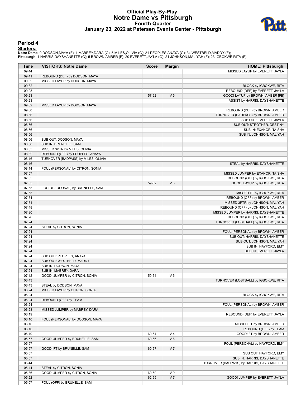## **Official Play-By-Play Notre Dame vs Pittsburgh Fourth Quarter January 23, 2022 at Petersen Events Center - Pittsburgh**



#### **Period 4**

#### **Starters:**

Notre Dame: 0 DODSON,MAYA (F); 1 MABREY,DARA (G); 5 MILES,OLIVIA (G); 21 PEOPLES,ANAYA (G); 34 WESTBELD,MADDY (F);<br>Pittsburgh: 1 HARRIS,DAYSHANETTE (G); 5 BROWN,AMBER (F); 20 EVERETT,JAYLA (G); 21 JOHNSON,MALIYAH (F); 23 I

| <b>Time</b>    | <b>VISITORS: Notre Dame</b>         | <b>Score</b>   | <b>Margin</b>  | <b>HOME: Pittsburgh</b>                           |
|----------------|-------------------------------------|----------------|----------------|---------------------------------------------------|
| 09:44          |                                     |                |                | MISSED LAYUP by EVERETT, JAYLA                    |
| 09:41          | REBOUND (DEF) by DODSON, MAYA       |                |                |                                                   |
| 09:32          | MISSED LAYUP by DODSON, MAYA        |                |                |                                                   |
| 09:32          |                                     |                |                | BLOCK by IGBOKWE, RITA                            |
| 09:28          |                                     |                |                | REBOUND (DEF) by EVERETT, JAYLA                   |
| 09:23          |                                     | 57-62          | V <sub>5</sub> | GOOD! LAYUP by BROWN, AMBER [FB]                  |
| 09:23          |                                     |                |                | ASSIST by HARRIS, DAYSHANETTE                     |
| 09:02          | MISSED LAYUP by DODSON, MAYA        |                |                |                                                   |
| 09:00          |                                     |                |                | REBOUND (DEF) by BROWN, AMBER                     |
| 08:56          |                                     |                |                | TURNOVER (BADPASS) by BROWN, AMBER                |
| 08:56          |                                     |                |                | SUB OUT: EVERETT, JAYLA                           |
| 08:56          |                                     |                |                | SUB OUT: STROTHER, DESTINY                        |
| 08:56          |                                     |                |                | SUB IN: EXANOR, TAISHA                            |
| 08:56          |                                     |                |                | SUB IN: JOHNSON, MALIYAH                          |
| 08:56          | SUB OUT: DODSON, MAYA               |                |                |                                                   |
| 08:56          | SUB IN: BRUNELLE, SAM               |                |                |                                                   |
| 08:35          | MISSED 3PTR by MILES, OLIVIA        |                |                |                                                   |
| 08:32          | REBOUND (OFF) by PEOPLES, ANAYA     |                |                |                                                   |
| 08:16          | TURNOVER (BADPASS) by MILES, OLIVIA |                |                |                                                   |
| 08:16          |                                     |                |                | STEAL by HARRIS, DAYSHANETTE                      |
| 08:14          | FOUL (PERSONAL) by CITRON, SONIA    |                |                |                                                   |
| 07:57          |                                     |                |                | MISSED JUMPER by EXANOR, TAISHA                   |
| 07:55          |                                     |                |                | REBOUND (OFF) by IGBOKWE, RITA                    |
| 07:55          |                                     | 59-62          | $V_3$          | GOOD! LAYUP by IGBOKWE, RITA                      |
| 07:55          | FOUL (PERSONAL) by BRUNELLE, SAM    |                |                |                                                   |
| 07:55          |                                     |                |                | MISSED FT by IGBOKWE, RITA                        |
| 07:54          |                                     |                |                | REBOUND (OFF) by BROWN, AMBER                     |
| 07:51          |                                     |                |                | MISSED 3PTR by JOHNSON, MALIYAH                   |
| 07:48          |                                     |                |                | REBOUND (OFF) by JOHNSON, MALIYAH                 |
| 07:30          |                                     |                |                | MISSED JUMPER by HARRIS, DAYSHANETTE              |
| 07:26          |                                     |                |                | REBOUND (OFF) by IGBOKWE, RITA                    |
| 07:24          |                                     |                |                | TURNOVER (LOSTBALL) by IGBOKWE, RITA              |
| 07:24          | STEAL by CITRON, SONIA              |                |                |                                                   |
| 07:24          |                                     |                |                | FOUL (PERSONAL) by BROWN, AMBER                   |
| 07:24          |                                     |                |                | SUB OUT: HARRIS, DAYSHANETTE                      |
| 07:24          |                                     |                |                | SUB OUT: JOHNSON, MALIYAH                         |
| 07:24          |                                     |                |                | SUB IN: HAYFORD, EMY                              |
| 07:24          |                                     |                |                | SUB IN: EVERETT, JAYLA                            |
| 07:24          | SUB OUT: PEOPLES, ANAYA             |                |                |                                                   |
| 07:24          | SUB OUT: WESTBELD, MADDY            |                |                |                                                   |
| 07:24          | SUB IN: DODSON, MAYA                |                |                |                                                   |
| 07:24          | SUB IN: MABREY, DARA                |                |                |                                                   |
| 07:12          | GOOD! JUMPER by CITRON, SONIA       | 59-64          | V <sub>5</sub> |                                                   |
| 06:43          |                                     |                |                | TURNOVER (LOSTBALL) by IGBOKWE, RITA              |
| 06:43          | STEAL by DODSON, MAYA               |                |                |                                                   |
| 06:24          | MISSED LAYUP by CITRON, SONIA       |                |                |                                                   |
| 06:24<br>06:24 |                                     |                |                | BLOCK by IGBOKWE, RITA                            |
| 06:24          | REBOUND (OFF) by TEAM               |                |                | FOUL (PERSONAL) by BROWN, AMBER                   |
| 06:23          | MISSED JUMPER by MABREY, DARA       |                |                |                                                   |
| 06:19          |                                     |                |                | REBOUND (DEF) by EVERETT, JAYLA                   |
| 06:10          | FOUL (PERSONAL) by DODSON, MAYA     |                |                |                                                   |
| 06:10          |                                     |                |                | MISSED FT by BROWN, AMBER                         |
|                |                                     |                |                |                                                   |
| 06:10<br>06:10 |                                     |                | V <sub>4</sub> | REBOUND (OFF) by TEAM<br>GOOD! FT by BROWN, AMBER |
| 05:57          | GOOD! JUMPER by BRUNELLE, SAM       | 60-64<br>60-66 | $V_6$          |                                                   |
| 05:57          |                                     |                |                | FOUL (PERSONAL) by HAYFORD, EMY                   |
| 05:57          |                                     | 60-67          | V <sub>7</sub> |                                                   |
|                | GOOD! FT by BRUNELLE, SAM           |                |                |                                                   |
| 05:57<br>05:57 |                                     |                |                | SUB OUT: HAYFORD, EMY                             |
| 05:44          |                                     |                |                | SUB IN: HARRIS, DAYSHANETTE                       |
| 05:44          | STEAL by CITRON, SONIA              |                |                | TURNOVER (BADPASS) by HARRIS, DAYSHANETTE         |
| 05:36          | GOOD! JUMPER by CITRON, SONIA       | 60-69          | V <sub>9</sub> |                                                   |
| 05:22          |                                     | 62-69          | V <sub>7</sub> | GOOD! JUMPER by EVERETT, JAYLA                    |
| 05:07          | FOUL (OFF) by BRUNELLE, SAM         |                |                |                                                   |
|                |                                     |                |                |                                                   |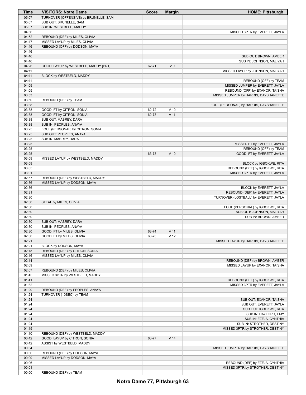| Time  | <b>VISITORS: Notre Dame</b>           | <b>Score</b> | <b>Margin</b>   | <b>HOME: Pittsburgh</b>                |
|-------|---------------------------------------|--------------|-----------------|----------------------------------------|
| 05:07 | TURNOVER (OFFENSIVE) by BRUNELLE, SAM |              |                 |                                        |
| 05:07 | SUB OUT: BRUNELLE, SAM                |              |                 |                                        |
| 05:07 | SUB IN: WESTBELD, MADDY               |              |                 |                                        |
| 04:56 |                                       |              |                 | MISSED 3PTR by EVERETT, JAYLA          |
| 04:52 | REBOUND (DEF) by MILES, OLIVIA        |              |                 |                                        |
| 04:47 | MISSED LAYUP by MILES, OLIVIA         |              |                 |                                        |
| 04:46 | REBOUND (OFF) by DODSON, MAYA         |              |                 |                                        |
| 04:46 |                                       |              |                 |                                        |
| 04:46 |                                       |              |                 | SUB OUT: BROWN, AMBER                  |
| 04:46 |                                       |              |                 | SUB IN: JOHNSON, MALIYAH               |
| 04:26 | GOOD! LAYUP by WESTBELD, MADDY [PNT]  | 62-71        | V <sub>9</sub>  |                                        |
| 04:11 |                                       |              |                 | MISSED LAYUP by JOHNSON, MALIYAH       |
| 04:11 | BLOCK by WESTBELD, MADDY              |              |                 |                                        |
| 04:11 |                                       |              |                 | REBOUND (OFF) by TEAM                  |
| 04:09 |                                       |              |                 | MISSED JUMPER by EVERETT, JAYLA        |
| 04:05 |                                       |              |                 | REBOUND (OFF) by EXANOR, TAISHA        |
| 03:53 |                                       |              |                 | MISSED JUMPER by HARRIS, DAYSHANETTE   |
| 03:50 | REBOUND (DEF) by TEAM                 |              |                 |                                        |
| 03:38 |                                       |              |                 | FOUL (PERSONAL) by HARRIS, DAYSHANETTE |
| 03:38 | GOOD! FT by CITRON, SONIA             | 62-72        | $V$ 10          |                                        |
| 03:38 | GOOD! FT by CITRON, SONIA             | 62-73        | $V$ 11          |                                        |
| 03:38 | SUB OUT: MABREY, DARA                 |              |                 |                                        |
| 03:38 | SUB IN: PEOPLES, ANAYA                |              |                 |                                        |
| 03:25 | FOUL (PERSONAL) by CITRON, SONIA      |              |                 |                                        |
| 03:25 | SUB OUT: PEOPLES, ANAYA               |              |                 |                                        |
| 03:25 | SUB IN: MABREY, DARA                  |              |                 |                                        |
| 03:25 |                                       |              |                 | MISSED FT by EVERETT, JAYLA            |
| 03:25 |                                       |              |                 | REBOUND (OFF) by TEAM                  |
| 03:25 |                                       | 63-73        | $V$ 10          | GOOD! FT by EVERETT, JAYLA             |
| 03:09 | MISSED LAYUP by WESTBELD, MADDY       |              |                 |                                        |
| 03:09 |                                       |              |                 | BLOCK by IGBOKWE, RITA                 |
| 03:05 |                                       |              |                 | REBOUND (DEF) by IGBOKWE, RITA         |
| 03:01 |                                       |              |                 | MISSED 3PTR by EVERETT, JAYLA          |
| 02:57 | REBOUND (DEF) by WESTBELD, MADDY      |              |                 |                                        |
| 02:36 | MISSED LAYUP by DODSON, MAYA          |              |                 |                                        |
| 02:36 |                                       |              |                 | BLOCK by EVERETT, JAYLA                |
| 02:31 |                                       |              |                 | REBOUND (DEF) by EVERETT, JAYLA        |
| 02:30 |                                       |              |                 | TURNOVER (LOSTBALL) by EVERETT, JAYLA  |
| 02:30 | STEAL by MILES, OLIVIA                |              |                 |                                        |
| 02:30 |                                       |              |                 | FOUL (PERSONAL) by IGBOKWE, RITA       |
| 02:30 |                                       |              |                 | SUB OUT: JOHNSON, MALIYAH              |
| 02:30 |                                       |              |                 | SUB IN: BROWN, AMBER                   |
| 02:30 | SUB OUT: MABREY, DARA                 |              |                 |                                        |
| 02:30 | SUB IN: PEOPLES, ANAYA                |              |                 |                                        |
| 02:30 | GOOD! FT by MILES, OLIVIA             | 63-74        | V <sub>11</sub> |                                        |
| 02:30 | GOOD! FT by MILES, OLIVIA             | 63-75        | V <sub>12</sub> |                                        |
| 02:21 |                                       |              |                 | MISSED LAYUP by HARRIS, DAYSHANETTE    |
| 02:21 | BLOCK by DODSON, MAYA                 |              |                 |                                        |
| 02:18 | REBOUND (DEF) by CITRON, SONIA        |              |                 |                                        |
| 02:16 | MISSED LAYUP by MILES, OLIVIA         |              |                 |                                        |
| 02:14 |                                       |              |                 | REBOUND (DEF) by BROWN, AMBER          |
| 02:09 |                                       |              |                 | MISSED LAYUP by EXANOR, TAISHA         |
| 02:07 | REBOUND (DEF) by MILES, OLIVIA        |              |                 |                                        |
| 01:45 | MISSED 3PTR by WESTBELD, MADDY        |              |                 |                                        |
| 01:41 |                                       |              |                 | REBOUND (DEF) by IGBOKWE, RITA         |
| 01:32 |                                       |              |                 | MISSED 3PTR by EVERETT, JAYLA          |
| 01:29 | REBOUND (DEF) by PEOPLES, ANAYA       |              |                 |                                        |
| 01:24 | TURNOVER (10SEC) by TEAM              |              |                 |                                        |
| 01:24 |                                       |              |                 | SUB OUT: EXANOR, TAISHA                |
| 01:24 |                                       |              |                 | SUB OUT: EVERETT, JAYLA                |
| 01:24 |                                       |              |                 | SUB OUT: IGBOKWE, RITA                 |
| 01:24 |                                       |              |                 | SUB IN: HAYFORD, EMY                   |
| 01:24 |                                       |              |                 | SUB IN: EZEJA, CYNTHIA                 |
| 01:24 |                                       |              |                 | SUB IN: STROTHER, DESTINY              |
| 01:15 |                                       |              |                 | MISSED 3PTR by STROTHER, DESTINY       |
| 01:10 | REBOUND (DEF) by WESTBELD, MADDY      |              |                 |                                        |
| 00:42 | GOOD! LAYUP by CITRON, SONIA          | 63-77        | V <sub>14</sub> |                                        |
| 00:42 | ASSIST by WESTBELD, MADDY             |              |                 |                                        |
| 00:34 |                                       |              |                 | MISSED JUMPER by HARRIS, DAYSHANETTE   |
| 00:30 | REBOUND (DEF) by DODSON, MAYA         |              |                 |                                        |
| 00:09 | MISSED LAYUP by DODSON, MAYA          |              |                 |                                        |
| 00:06 |                                       |              |                 | REBOUND (DEF) by EZEJA, CYNTHIA        |
| 00:01 |                                       |              |                 | MISSED 3PTR by STROTHER, DESTINY       |
| 00:00 | REBOUND (DEF) by TEAM                 |              |                 |                                        |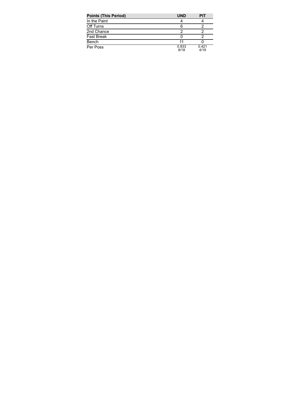| <b>Points (This Period)</b> | <b>UND</b>    | PIT           |
|-----------------------------|---------------|---------------|
| In the Paint                |               |               |
| Off Turns                   | 6             |               |
| 2nd Chance                  |               |               |
| Fast Break                  |               |               |
| Bench                       | 11            |               |
| Per Poss                    | 0.833<br>8/18 | 0.421<br>4/19 |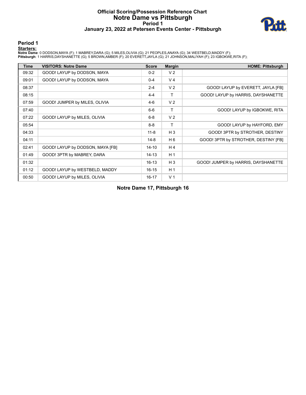# **Official Scoring/Possession Reference Chart Notre Dame vs Pittsburgh Period 1 January 23, 2022 at Petersen Events Center - Pittsburgh**



#### **Period 1**

#### **Starters:**

Notre Dame: 0 DODSON,MAYA (F); 1 MABREY,DARA (G); 5 MILES,OLIVIA (G); 21 PEOPLES,ANAYA (G); 34 WESTBELD,MADDY (F);<br>Pittsburgh: 1 HARRIS,DAYSHANETTE (G); 5 BROWN,AMBER (F); 20 EVERETT,JAYLA (G); 21 JOHNSON,MALIYAH (F); 23 I

| <b>Time</b> | <b>VISITORS: Notre Dame</b>      | <b>Score</b> | <b>Margin</b>  | <b>HOME: Pittsburgh</b>              |
|-------------|----------------------------------|--------------|----------------|--------------------------------------|
| 09:32       | GOOD! LAYUP by DODSON, MAYA      | $0 - 2$      | V <sub>2</sub> |                                      |
| 09:01       | GOOD! LAYUP by DODSON, MAYA      | $0 - 4$      | V <sub>4</sub> |                                      |
| 08:37       |                                  | $2 - 4$      | V <sub>2</sub> | GOOD! LAYUP by EVERETT, JAYLA [FB]   |
| 08:15       |                                  | $4 - 4$      | Τ              | GOOD! LAYUP by HARRIS, DAYSHANETTE   |
| 07:59       | GOOD! JUMPER by MILES, OLIVIA    | $4-6$        | V <sub>2</sub> |                                      |
| 07:40       |                                  | $6-6$        | Τ              | GOOD! LAYUP by IGBOKWE, RITA         |
| 07:22       | GOOD! LAYUP by MILES, OLIVIA     | $6 - 8$      | V <sub>2</sub> |                                      |
| 05:54       |                                  | $8 - 8$      | т              | GOOD! LAYUP by HAYFORD, EMY          |
| 04:33       |                                  | $11 - 8$     | $H_3$          | GOOD! 3PTR by STROTHER, DESTINY      |
| 04:11       |                                  | $14 - 8$     | H <sub>6</sub> | GOOD! 3PTR by STROTHER, DESTINY [FB] |
| 02:41       | GOOD! LAYUP by DODSON, MAYA [FB] | $14 - 10$    | H 4            |                                      |
| 01:49       | GOOD! 3PTR by MABREY, DARA       | $14 - 13$    | H <sub>1</sub> |                                      |
| 01:32       |                                  | $16 - 13$    | $H_3$          | GOOD! JUMPER by HARRIS, DAYSHANETTE  |
| 01:12       | GOOD! LAYUP by WESTBELD, MADDY   | $16 - 15$    | H <sub>1</sub> |                                      |
| 00:50       | GOOD! LAYUP by MILES, OLIVIA     | $16 - 17$    | V <sub>1</sub> |                                      |

**Notre Dame 17, Pittsburgh 16**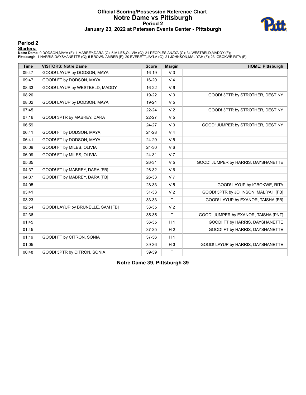# **Official Scoring/Possession Reference Chart Notre Dame vs Pittsburgh Period 2 January 23, 2022 at Petersen Events Center - Pittsburgh**



#### **Period 2**

**Starters:**

Notre Dame: 0 DODSON,MAYA (F); 1 MABREY,DARA (G); 5 MILES,OLIVIA (G); 21 PEOPLES,ANAYA (G); 34 WESTBELD,MADDY (F);<br>Pittsburgh: 1 HARRIS,DAYSHANETTE (G); 5 BROWN,AMBER (F); 20 EVERETT,JAYLA (G); 21 JOHNSON,MALIYAH (F); 23 I

| <b>Time</b> | <b>VISITORS: Notre Dame</b>       | <b>Score</b> | <b>Margin</b>  | <b>HOME: Pittsburgh</b>              |
|-------------|-----------------------------------|--------------|----------------|--------------------------------------|
| 09:47       | GOOD! LAYUP by DODSON, MAYA       | 16-19        | V <sub>3</sub> |                                      |
| 09:47       | GOOD! FT by DODSON, MAYA          | 16-20        | V <sub>4</sub> |                                      |
| 08:33       | GOOD! LAYUP by WESTBELD, MADDY    | 16-22        | $V_6$          |                                      |
| 08:20       |                                   | 19-22        | V <sub>3</sub> | GOOD! 3PTR by STROTHER, DESTINY      |
| 08:02       | GOOD! LAYUP by DODSON, MAYA       | 19-24        | V <sub>5</sub> |                                      |
| 07:45       |                                   | $22 - 24$    | V <sub>2</sub> | GOOD! 3PTR by STROTHER, DESTINY      |
| 07:16       | GOOD! 3PTR by MABREY, DARA        | 22-27        | V <sub>5</sub> |                                      |
| 06:59       |                                   | 24-27        | V <sub>3</sub> | GOOD! JUMPER by STROTHER, DESTINY    |
| 06:41       | GOOD! FT by DODSON, MAYA          | 24-28        | V <sub>4</sub> |                                      |
| 06:41       | GOOD! FT by DODSON, MAYA          | 24-29        | V <sub>5</sub> |                                      |
| 06:09       | GOOD! FT by MILES, OLIVIA         | 24-30        | $V_6$          |                                      |
| 06:09       | GOOD! FT by MILES, OLIVIA         | 24-31        | V <sub>7</sub> |                                      |
| 05:35       |                                   | 26-31        | V <sub>5</sub> | GOOD! JUMPER by HARRIS, DAYSHANETTE  |
| 04:37       | GOOD! FT by MABREY, DARA [FB]     | 26-32        | $V_6$          |                                      |
| 04:37       | GOOD! FT by MABREY, DARA [FB]     | 26-33        | V <sub>7</sub> |                                      |
| 04:05       |                                   | 28-33        | V <sub>5</sub> | GOOD! LAYUP by IGBOKWE, RITA         |
| 03:41       |                                   | $31 - 33$    | V <sub>2</sub> | GOOD! 3PTR by JOHNSON, MALIYAH [FB]  |
| 03:23       |                                   | 33-33        | $\mathsf{T}$   | GOOD! LAYUP by EXANOR, TAISHA [FB]   |
| 02:54       | GOOD! LAYUP by BRUNELLE, SAM [FB] | 33-35        | V <sub>2</sub> |                                      |
| 02:36       |                                   | 35-35        | $\mathsf{T}$   | GOOD! JUMPER by EXANOR, TAISHA [PNT] |
| 01:45       |                                   | 36-35        | H <sub>1</sub> | GOOD! FT by HARRIS, DAYSHANETTE      |
| 01:45       |                                   | 37-35        | H <sub>2</sub> | GOOD! FT by HARRIS, DAYSHANETTE      |
| 01:19       | GOOD! FT by CITRON, SONIA         | 37-36        | H <sub>1</sub> |                                      |
| 01:05       |                                   | 39-36        | $H_3$          | GOOD! LAYUP by HARRIS, DAYSHANETTE   |
| 00:48       | GOOD! 3PTR by CITRON, SONIA       | 39-39        | $\mathsf{T}$   |                                      |

**Notre Dame 39, Pittsburgh 39**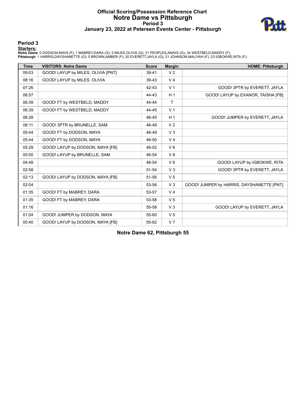# **Official Scoring/Possession Reference Chart Notre Dame vs Pittsburgh Period 3 January 23, 2022 at Petersen Events Center - Pittsburgh**



#### **Period 3**

**Starters:**

Notre Dame: 0 DODSON,MAYA (F); 1 MABREY,DARA (G); 5 MILES,OLIVIA (G); 21 PEOPLES,ANAYA (G); 34 WESTBELD,MADDY (F);<br>Pittsburgh: 1 HARRIS,DAYSHANETTE (G); 5 BROWN,AMBER (F); 20 EVERETT,JAYLA (G); 21 JOHNSON,MALIYAH (F); 23 I

| <b>Time</b> | <b>VISITORS: Notre Dame</b>        | <b>Score</b> | <b>Margin</b>  | <b>HOME: Pittsburgh</b>                   |
|-------------|------------------------------------|--------------|----------------|-------------------------------------------|
| 09:03       | GOOD! LAYUP by MILES, OLIVIA [PNT] | 39-41        | V <sub>2</sub> |                                           |
| 08:16       | GOOD! LAYUP by MILES, OLIVIA       | 39-43        | V <sub>4</sub> |                                           |
| 07:26       |                                    | 42-43        | V <sub>1</sub> | GOOD! 3PTR by EVERETT, JAYLA              |
| 06:57       |                                    | 44-43        | H <sub>1</sub> | GOOD! LAYUP by EXANOR, TAISHA [FB]        |
| 06:39       | GOOD! FT by WESTBELD, MADDY        | 44-44        | T              |                                           |
| 06:39       | GOOD! FT by WESTBELD, MADDY        | 44-45        | V <sub>1</sub> |                                           |
| 06:28       |                                    | 46-45        | H <sub>1</sub> | GOOD! JUMPER by EVERETT, JAYLA            |
| 06:11       | GOOD! 3PTR by BRUNELLE, SAM        | 46-48        | V <sub>2</sub> |                                           |
| 05:44       | GOOD! FT by DODSON, MAYA           | 46-49        | V <sub>3</sub> |                                           |
| 05:44       | GOOD! FT by DODSON, MAYA           | 46-50        | V <sub>4</sub> |                                           |
| 05:29       | GOOD! LAYUP by DODSON, MAYA [FB]   | 46-52        | $V_6$          |                                           |
| 05:00       | GOOD! LAYUP by BRUNELLE, SAM       | 46-54        | V8             |                                           |
| 04:48       |                                    | 48-54        | $V_6$          | GOOD! LAYUP by IGBOKWE, RITA              |
| 02:58       |                                    | 51-54        | $V_3$          | GOOD! 3PTR by EVERETT, JAYLA              |
| 02:13       | GOOD! LAYUP by DODSON, MAYA [FB]   | 51-56        | V <sub>5</sub> |                                           |
| 02:04       |                                    | 53-56        | $V_3$          | GOOD! JUMPER by HARRIS, DAYSHANETTE [PNT] |
| 01:35       | GOOD! FT by MABREY, DARA           | 53-57        | V <sub>4</sub> |                                           |
| 01:35       | GOOD! FT by MABREY, DARA           | 53-58        | V <sub>5</sub> |                                           |
| 01:16       |                                    | 55-58        | $V_3$          | GOOD! LAYUP by EVERETT, JAYLA             |
| 01:04       | GOOD! JUMPER by DODSON, MAYA       | 55-60        | V <sub>5</sub> |                                           |
| 00:40       | GOOD! LAYUP by DODSON, MAYA [FB]   | 55-62        | V <sub>7</sub> |                                           |

**Notre Dame 62, Pittsburgh 55**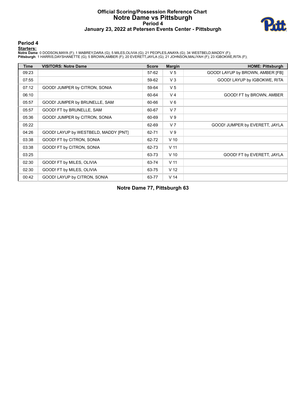# **Official Scoring/Possession Reference Chart Notre Dame vs Pittsburgh Period 4 January 23, 2022 at Petersen Events Center - Pittsburgh**



#### **Period 4**

#### **Starters:**

Notre Dame: 0 DODSON,MAYA (F); 1 MABREY,DARA (G); 5 MILES,OLIVIA (G); 21 PEOPLES,ANAYA (G); 34 WESTBELD,MADDY (F);<br>Pittsburgh: 1 HARRIS,DAYSHANETTE (G); 5 BROWN,AMBER (F); 20 EVERETT,JAYLA (G); 21 JOHNSON,MALIYAH (F); 23 I

| <b>Time</b> | <b>VISITORS: Notre Dame</b>          | <b>Score</b> | <b>Margin</b>   | <b>HOME: Pittsburgh</b>          |
|-------------|--------------------------------------|--------------|-----------------|----------------------------------|
| 09:23       |                                      | 57-62        | V <sub>5</sub>  | GOOD! LAYUP by BROWN, AMBER [FB] |
| 07:55       |                                      | 59-62        | $V_3$           | GOOD! LAYUP by IGBOKWE, RITA     |
| 07:12       | GOOD! JUMPER by CITRON, SONIA        | 59-64        | V <sub>5</sub>  |                                  |
| 06:10       |                                      | 60-64        | V <sub>4</sub>  | GOOD! FT by BROWN, AMBER         |
| 05:57       | GOOD! JUMPER by BRUNELLE, SAM        | 60-66        | $V_6$           |                                  |
| 05:57       | GOOD! FT by BRUNELLE, SAM            | 60-67        | V <sub>7</sub>  |                                  |
| 05:36       | GOOD! JUMPER by CITRON, SONIA        | 60-69        | V <sub>9</sub>  |                                  |
| 05:22       |                                      | 62-69        | V <sub>7</sub>  | GOOD! JUMPER by EVERETT, JAYLA   |
| 04:26       | GOOD! LAYUP by WESTBELD, MADDY [PNT] | 62-71        | V <sub>9</sub>  |                                  |
| 03:38       | GOOD! FT by CITRON, SONIA            | 62-72        | $V$ 10          |                                  |
| 03:38       | GOOD! FT by CITRON, SONIA            | 62-73        | V <sub>11</sub> |                                  |
| 03:25       |                                      | 63-73        | $V$ 10          | GOOD! FT by EVERETT, JAYLA       |
| 02:30       | GOOD! FT by MILES, OLIVIA            | 63-74        | V <sub>11</sub> |                                  |
| 02:30       | GOOD! FT by MILES, OLIVIA            | 63-75        | V <sub>12</sub> |                                  |
| 00:42       | GOOD! LAYUP by CITRON, SONIA         | 63-77        | V <sub>14</sub> |                                  |

**Notre Dame 77, Pittsburgh 63**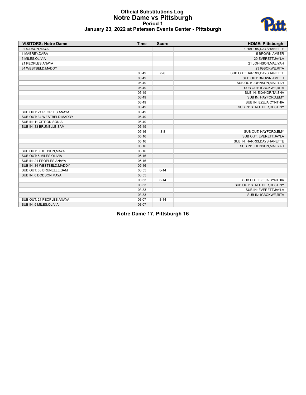### **Official Substitutions Log Notre Dame vs Pittsburgh Period 1 January 23, 2022 at Petersen Events Center - Pittsburgh**



| <b>VISITORS: Notre Dame</b> | <b>Time</b> | <b>Score</b> | <b>HOME: Pittsburgh</b>      |
|-----------------------------|-------------|--------------|------------------------------|
| 0 DODSON, MAYA              |             |              | 1 HARRIS, DAYSHANETTE        |
| 1 MABREY, DARA              |             |              | 5 BROWN, AMBER               |
| 5 MILES, OLIVIA             |             |              | 20 EVERETT, JAYLA            |
| 21 PEOPLES, ANAYA           |             |              | 21 JOHNSON, MALIYAH          |
| 34 WESTBELD, MADDY          |             |              | 23 IGBOKWE, RITA             |
|                             | 06:49       | $8-6$        | SUB OUT: HARRIS, DAYSHANETTE |
|                             | 06:49       |              | SUB OUT: BROWN, AMBER        |
|                             | 06:49       |              | SUB OUT: JOHNSON.MALIYAH     |
|                             | 06:49       |              | SUB OUT: IGBOKWE, RITA       |
|                             | 06:49       |              | SUB IN: EXANOR, TAISHA       |
|                             | 06:49       |              | SUB IN: HAYFORD, EMY         |
|                             | 06:49       |              | SUB IN: EZEJA, CYNTHIA       |
|                             | 06:49       |              | SUB IN: STROTHER, DESTINY    |
| SUB OUT: 21 PEOPLES, ANAYA  | 06:49       |              |                              |
| SUB OUT: 34 WESTBELD, MADDY | 06:49       |              |                              |
| SUB IN: 11 CITRON, SONIA    | 06:49       |              |                              |
| SUB IN: 33 BRUNELLE, SAM    | 06:49       |              |                              |
|                             | 05:16       | $8 - 8$      | SUB OUT: HAYFORD, EMY        |
|                             | 05:16       |              | SUB OUT: EVERETT, JAYLA      |
|                             | 05:16       |              | SUB IN: HARRIS, DAYSHANETTE  |
|                             | 05:16       |              | SUB IN: JOHNSON, MALIYAH     |
| SUB OUT: 0 DODSON, MAYA     | 05:16       |              |                              |
| SUB OUT: 5 MILES, OLIVIA    | 05:16       |              |                              |
| SUB IN: 21 PEOPLES, ANAYA   | 05:16       |              |                              |
| SUB IN: 34 WESTBELD, MADDY  | 05:16       |              |                              |
| SUB OUT: 33 BRUNELLE, SAM   | 03:55       | $8 - 14$     |                              |
| SUB IN: 0 DODSON, MAYA      | 03:55       |              |                              |
|                             | 03:33       | $8 - 14$     | SUB OUT: EZEJA, CYNTHIA      |
|                             | 03:33       |              | SUB OUT: STROTHER, DESTINY   |
|                             | 03:33       |              | SUB IN: EVERETT, JAYLA       |
|                             | 03:33       |              | SUB IN: IGBOKWE, RITA        |
| SUB OUT: 21 PEOPLES, ANAYA  | 03:07       | $8 - 14$     |                              |
| SUB IN: 5 MILES, OLIVIA     | 03:07       |              |                              |

**Notre Dame 17, Pittsburgh 16**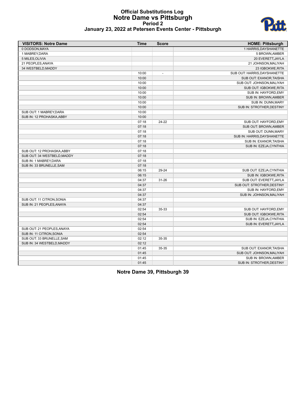#### **Official Substitutions Log Notre Dame vs Pittsburgh Period 2 January 23, 2022 at Petersen Events Center - Pittsburgh**



| <b>VISITORS: Notre Dame</b> | <b>Time</b> | <b>Score</b>   | <b>HOME: Pittsburgh</b>      |
|-----------------------------|-------------|----------------|------------------------------|
| 0 DODSON, MAYA              |             |                | 1 HARRIS, DAYSHANETTE        |
| 1 MABREY, DARA              |             |                | 5 BROWN, AMBER               |
| 5 MILES, OLIVIA             |             |                | 20 EVERETT, JAYLA            |
| 21 PEOPLES, ANAYA           |             |                | 21 JOHNSON, MALIYAH          |
| 34 WESTBELD, MADDY          |             |                | 23 IGBOKWE, RITA             |
|                             | 10:00       | $\overline{a}$ | SUB OUT: HARRIS, DAYSHANETTE |
|                             | 10:00       |                | SUB OUT: EXANOR, TAISHA      |
|                             | 10:00       |                | SUB OUT: JOHNSON, MALIYAH    |
|                             | 10:00       |                | SUB OUT: IGBOKWE, RITA       |
|                             | 10:00       |                | SUB IN: HAYFORD, EMY         |
|                             | 10:00       |                | SUB IN: BROWN, AMBER         |
|                             | 10:00       |                | SUB IN: DUNN, MARY           |
|                             | 10:00       |                | SUB IN: STROTHER, DESTINY    |
| SUB OUT: 1 MABREY, DARA     | 10:00       |                |                              |
| SUB IN: 12 PROHASKA, ABBY   | 10:00       |                |                              |
|                             | 07:18       | 24-22          | SUB OUT: HAYFORD, EMY        |
|                             | 07:18       |                | <b>SUB OUT: BROWN, AMBER</b> |
|                             | 07:18       |                | SUB OUT: DUNN, MARY          |
|                             | 07:18       |                | SUB IN: HARRIS, DAYSHANETTE  |
|                             | 07:18       |                | SUB IN: EXANOR, TAISHA       |
|                             | 07:18       |                | SUB IN: EZEJA, CYNTHIA       |
| SUB OUT: 12 PROHASKA, ABBY  | 07:18       |                |                              |
| SUB OUT: 34 WESTBELD, MADDY | 07:18       |                |                              |
| SUB IN: 1 MABREY, DARA      | 07:18       |                |                              |
| SUB IN: 33 BRUNELLE, SAM    | 07:18       |                |                              |
|                             | 06:15       | 29-24          | SUB OUT: EZEJA, CYNTHIA      |
|                             | 06:15       |                | SUB IN: IGBOKWE, RITA        |
|                             | 04:37       | $31 - 26$      | SUB OUT: EVERETT, JAYLA      |
|                             | 04:37       |                |                              |
|                             |             |                | SUB OUT: STROTHER, DESTINY   |
|                             | 04:37       |                | SUB IN: HAYFORD, EMY         |
|                             | 04:37       |                | SUB IN: JOHNSON, MALIYAH     |
| SUB OUT: 11 CITRON, SONIA   | 04:37       |                |                              |
| SUB IN: 21 PEOPLES, ANAYA   | 04:37       |                |                              |
|                             | 02:54       | 35-33          | SUB OUT: HAYFORD, EMY        |
|                             | 02:54       |                | SUB OUT: IGBOKWE, RITA       |
|                             | 02:54       |                | SUB IN: EZEJA, CYNTHIA       |
|                             | 02:54       |                | SUB IN: EVERETT, JAYLA       |
| SUB OUT: 21 PEOPLES, ANAYA  | 02:54       |                |                              |
| SUB IN: 11 CITRON, SONIA    | 02:54       |                |                              |
| SUB OUT: 33 BRUNELLE, SAM   | 02:12       | 35-35          |                              |
| SUB IN: 34 WESTBELD, MADDY  | 02:12       |                |                              |
|                             | 01:45       | 35-35          | SUB OUT: EXANOR, TAISHA      |
|                             | 01:45       |                | SUB OUT: JOHNSON, MALIYAH    |
|                             | 01:45       |                | SUB IN: BROWN, AMBER         |
|                             | 01:45       |                | SUB IN: STROTHER, DESTINY    |

**Notre Dame 39, Pittsburgh 39**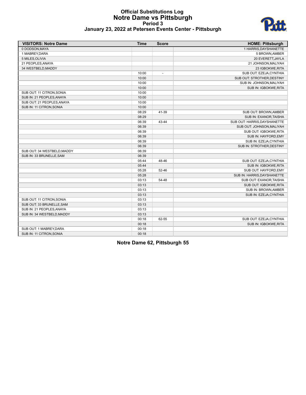

### **Official Substitutions Log Notre Dame vs Pittsburgh Period 3 January 23, 2022 at Petersen Events Center - Pittsburgh**

| <b>VISITORS: Notre Dame</b> | <b>Time</b> | <b>Score</b>             | <b>HOME: Pittsburgh</b>      |
|-----------------------------|-------------|--------------------------|------------------------------|
| 0 DODSON, MAYA              |             |                          | 1 HARRIS, DAYSHANETTE        |
| 1 MABREY, DARA              |             |                          | 5 BROWN, AMBER               |
| 5 MILES.OLIVIA              |             |                          | 20 EVERETT, JAYLA            |
| 21 PEOPLES, ANAYA           |             |                          | 21 JOHNSON, MALIYAH          |
| 34 WESTBELD, MADDY          |             |                          | 23 IGBOKWE, RITA             |
|                             | 10:00       | $\overline{\phantom{a}}$ | SUB OUT: EZEJA, CYNTHIA      |
|                             | 10:00       |                          | SUB OUT: STROTHER, DESTINY   |
|                             | 10:00       |                          | SUB IN: JOHNSON, MALIYAH     |
|                             | 10:00       |                          | SUB IN: IGBOKWE, RITA        |
| SUB OUT: 11 CITRON, SONIA   | 10:00       |                          |                              |
| SUB IN: 21 PEOPLES, ANAYA   | 10:00       |                          |                              |
| SUB OUT: 21 PEOPLES, ANAYA  | 10:00       |                          |                              |
| SUB IN: 11 CITRON, SONIA    | 10:00       |                          |                              |
|                             | 08:29       | 41-39                    | SUB OUT: BROWN, AMBER        |
|                             | 08:29       |                          | SUB IN: EXANOR, TAISHA       |
|                             | 06:39       | 43-44                    | SUB OUT: HARRIS, DAYSHANETTE |
|                             | 06:39       |                          | SUB OUT: JOHNSON, MALIYAH    |
|                             | 06:39       |                          | SUB OUT: IGBOKWE, RITA       |
|                             | 06:39       |                          | SUB IN: HAYFORD, EMY         |
|                             | 06:39       |                          | SUB IN: EZEJA, CYNTHIA       |
|                             | 06:39       |                          | SUB IN: STROTHER, DESTINY    |
| SUB OUT: 34 WESTBELD, MADDY | 06:39       |                          |                              |
| SUB IN: 33 BRUNELLE, SAM    | 06:39       |                          |                              |
|                             | 05:44       | 48-46                    | SUB OUT: EZEJA, CYNTHIA      |
|                             | 05:44       |                          | SUB IN: IGBOKWE, RITA        |
|                             | 05:28       | $52 - 46$                | SUB OUT: HAYFORD, EMY        |
|                             | 05:28       |                          | SUB IN: HARRIS, DAYSHANETTE  |
|                             | 03:13       | 54-48                    | SUB OUT: EXANOR, TAISHA      |
|                             | 03:13       |                          | SUB OUT: IGBOKWE, RITA       |
|                             | 03:13       |                          | SUB IN: BROWN, AMBER         |
|                             | 03:13       |                          | SUB IN: EZEJA, CYNTHIA       |
| SUB OUT: 11 CITRON, SONIA   | 03:13       |                          |                              |
| SUB OUT: 33 BRUNELLE, SAM   | 03:13       |                          |                              |
| SUB IN: 21 PEOPLES, ANAYA   | 03:13       |                          |                              |
| SUB IN: 34 WESTBELD.MADDY   | 03:13       |                          |                              |
|                             | 00:18       | 62-55                    | SUB OUT: EZEJA, CYNTHIA      |
|                             | 00:18       |                          | SUB IN: IGBOKWE, RITA        |
| SUB OUT: 1 MABREY.DARA      | 00:18       |                          |                              |
| SUB IN: 11 CITRON, SONIA    | 00:18       |                          |                              |

**Notre Dame 62, Pittsburgh 55**